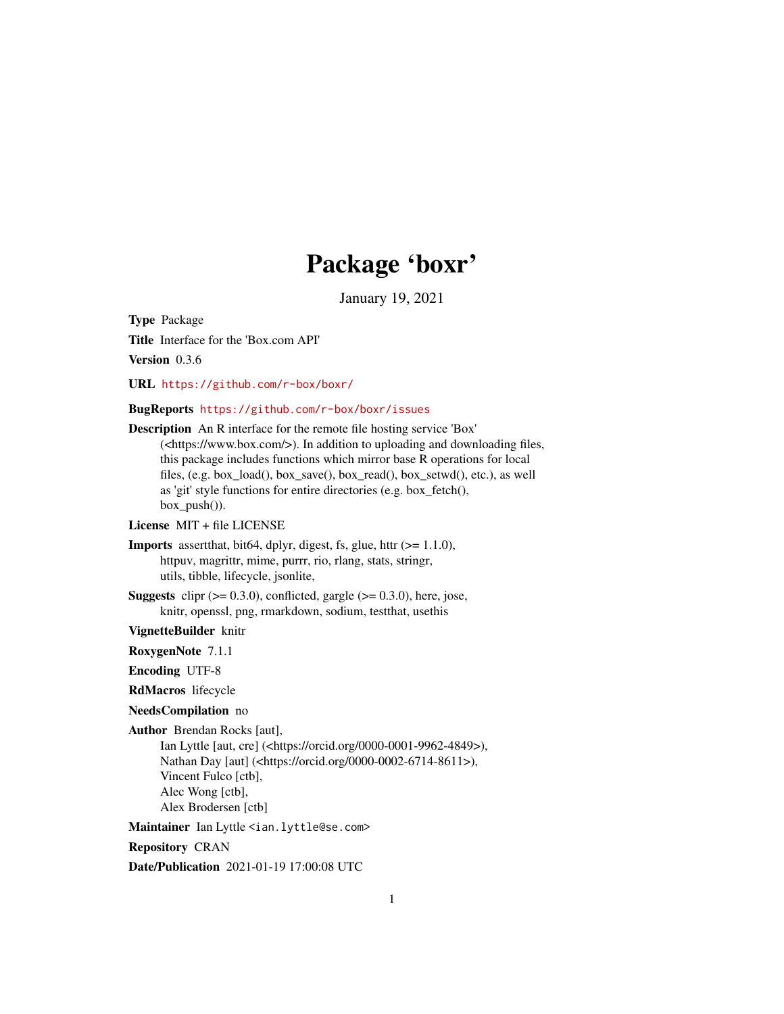## Package 'boxr'

January 19, 2021

<span id="page-0-0"></span>Type Package Title Interface for the 'Box.com API'

Version 0.3.6

URL <https://github.com/r-box/boxr/>

### BugReports <https://github.com/r-box/boxr/issues>

Description An R interface for the remote file hosting service 'Box' (<https://www.box.com/>). In addition to uploading and downloading files, this package includes functions which mirror base R operations for local files, (e.g. box\_load(), box\_save(), box\_read(), box\_setwd(), etc.), as well as 'git' style functions for entire directories (e.g. box\_fetch(), box\_push()). License MIT + file LICENSE **Imports** assert that, bit64, dplyr, digest, fs, glue, httr  $(>= 1.1.0)$ , httpuv, magrittr, mime, purrr, rio, rlang, stats, stringr, utils, tibble, lifecycle, jsonlite, **Suggests** clipr  $(>= 0.3.0)$ , conflicted, gargle  $(>= 0.3.0)$ , here, jose, knitr, openssl, png, rmarkdown, sodium, testthat, usethis VignetteBuilder knitr RoxygenNote 7.1.1 Encoding UTF-8 RdMacros lifecycle NeedsCompilation no Author Brendan Rocks [aut], Ian Lyttle [aut, cre] (<https://orcid.org/0000-0001-9962-4849>), Nathan Day [aut] (<https://orcid.org/0000-0002-6714-8611>), Vincent Fulco [ctb], Alec Wong [ctb], Alex Brodersen [ctb] Maintainer Ian Lyttle <ian.lyttle@se.com> Repository CRAN Date/Publication 2021-01-19 17:00:08 UTC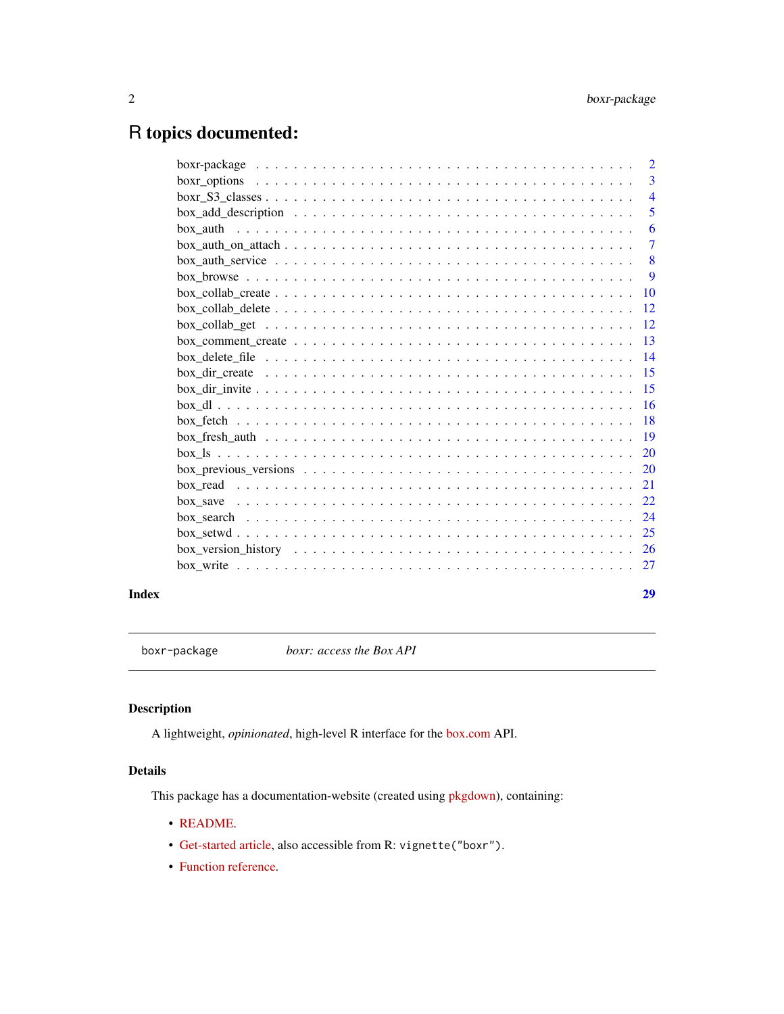## <span id="page-1-0"></span>R topics documented:

|  | $\overline{2}$  |
|--|-----------------|
|  | $\overline{3}$  |
|  | $\overline{4}$  |
|  | 5               |
|  | 6               |
|  | 7               |
|  | 8               |
|  | 9               |
|  | 10              |
|  | 12              |
|  | <sup>12</sup>   |
|  | -13             |
|  | $\overline{14}$ |
|  | 15              |
|  | 15              |
|  | 16              |
|  | -18             |
|  | -19             |
|  | 20              |
|  | 20              |
|  | 21              |
|  | 22              |
|  | 24              |
|  | 25              |
|  | <sup>26</sup>   |
|  | 27              |
|  |                 |

#### **Index** [29](#page-28-0)

boxr-package *boxr: access the Box API*

### Description

A lightweight, *opinionated*, high-level R interface for the [box.com](https://developer.box.com/docs) API.

### Details

This package has a documentation-website (created using [pkgdown\)](https://pkgdown.r-lib.org/), containing:

- [README.](https://r-box.github.io/boxr/)
- [Get-started article,](https://r-box.github.io/boxr/articles/boxr.html) also accessible from R: vignette("boxr").
- [Function reference.](https://r-box.github.io/boxr/reference/index.html)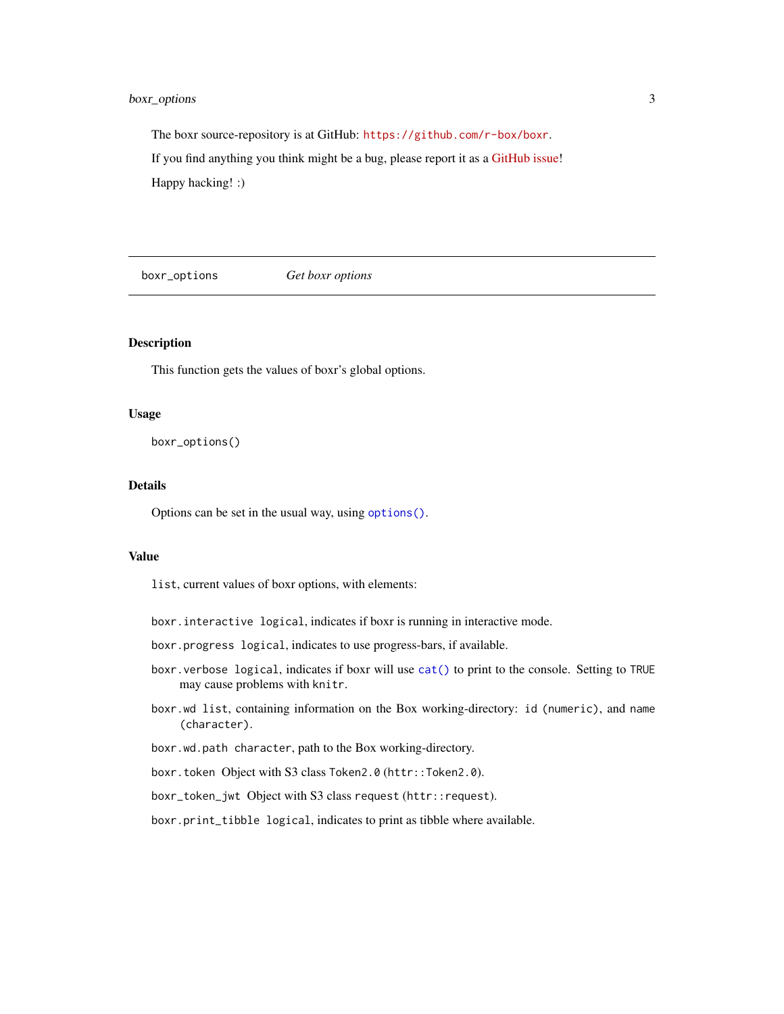### <span id="page-2-0"></span>boxr\_options 3

The boxr source-repository is at GitHub: <https://github.com/r-box/boxr>.

If you find anything you think might be a bug, please report it as a [GitHub issue!](https://github.com/r-box/boxr/issues) Happy hacking! :)

<span id="page-2-1"></span>boxr\_options *Get boxr options*

Description

This function gets the values of boxr's global options.

#### Usage

boxr\_options()

### Details

Options can be set in the usual way, using [options\(\)](#page-0-0).

### Value

list, current values of boxr options, with elements:

- boxr.interactive logical, indicates if boxr is running in interactive mode.
- boxr.progress logical, indicates to use progress-bars, if available.
- boxr.verbose logical, indicates if boxr will use [cat\(\)](#page-0-0) to print to the console. Setting to TRUE may cause problems with knitr.
- boxr.wd list, containing information on the Box working-directory: id (numeric), and name (character).

boxr.wd.path character, path to the Box working-directory.

boxr.token Object with S3 class Token2.0 (httr::Token2.0).

boxr\_token\_jwt Object with S3 class request (httr::request).

boxr.print\_tibble logical, indicates to print as tibble where available.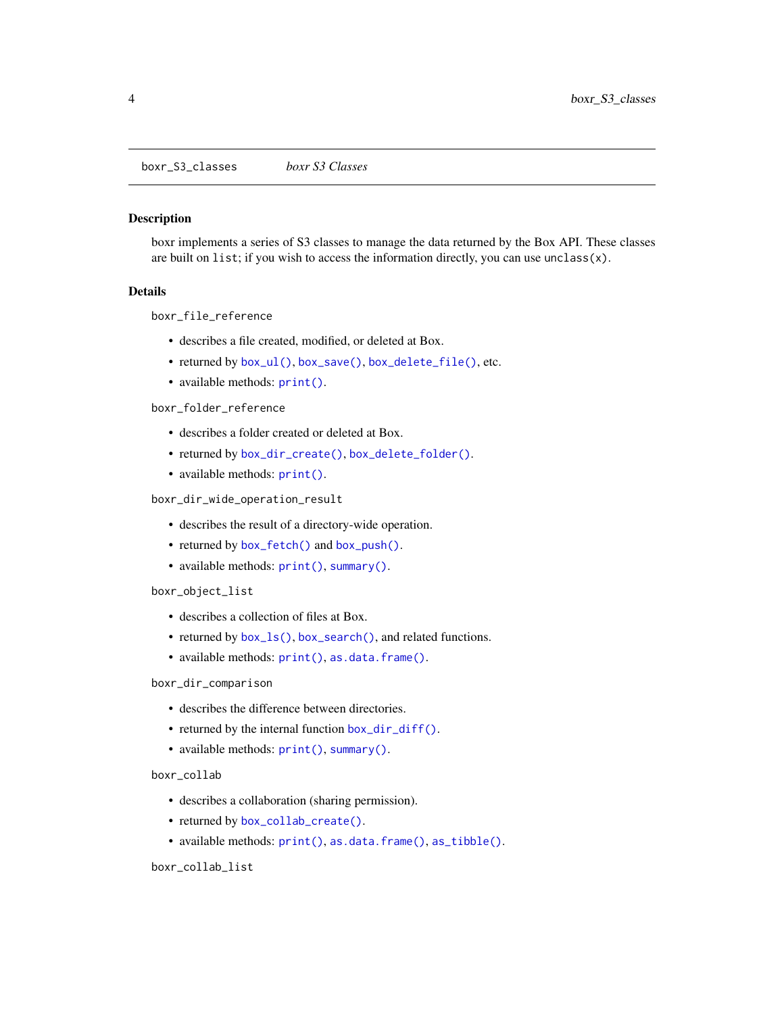<span id="page-3-1"></span><span id="page-3-0"></span>boxr\_S3\_classes *boxr S3 Classes*

#### Description

boxr implements a series of S3 classes to manage the data returned by the Box API. These classes are built on list; if you wish to access the information directly, you can use unclass $(x)$ .

### Details

boxr\_file\_reference

- describes a file created, modified, or deleted at Box.
- returned by [box\\_ul\(\)](#page-15-1), [box\\_save\(\)](#page-21-1), [box\\_delete\\_file\(\)](#page-13-1), etc.
- available methods:  $print()$ .

boxr\_folder\_reference

- describes a folder created or deleted at Box.
- returned by [box\\_dir\\_create\(\)](#page-14-1), [box\\_delete\\_folder\(\)](#page-13-2).
- available methods:  $print()$ .

### boxr\_dir\_wide\_operation\_result

- describes the result of a directory-wide operation.
- returned by [box\\_fetch\(\)](#page-17-1) and [box\\_push\(\)](#page-17-2).
- available methods: [print\(\)](#page-0-0), [summary\(\)](#page-0-0).

### boxr\_object\_list

- describes a collection of files at Box.
- returned by [box\\_ls\(\)](#page-19-1), [box\\_search\(\)](#page-23-1), and related functions.
- available methods:  $print(), as.data frame().$  $print(), as.data frame().$

### boxr\_dir\_comparison

- describes the difference between directories.
- returned by the internal function [box\\_dir\\_diff\(\)](#page-0-0).
- available methods: [print\(\)](#page-0-0), [summary\(\)](#page-0-0).

### boxr\_collab

- describes a collaboration (sharing permission).
- returned by [box\\_collab\\_create\(\)](#page-9-1).
- available methods: [print\(\)](#page-0-0), [as.data.frame\(\)](#page-0-0), [as\\_tibble\(\)](#page-0-0).

boxr\_collab\_list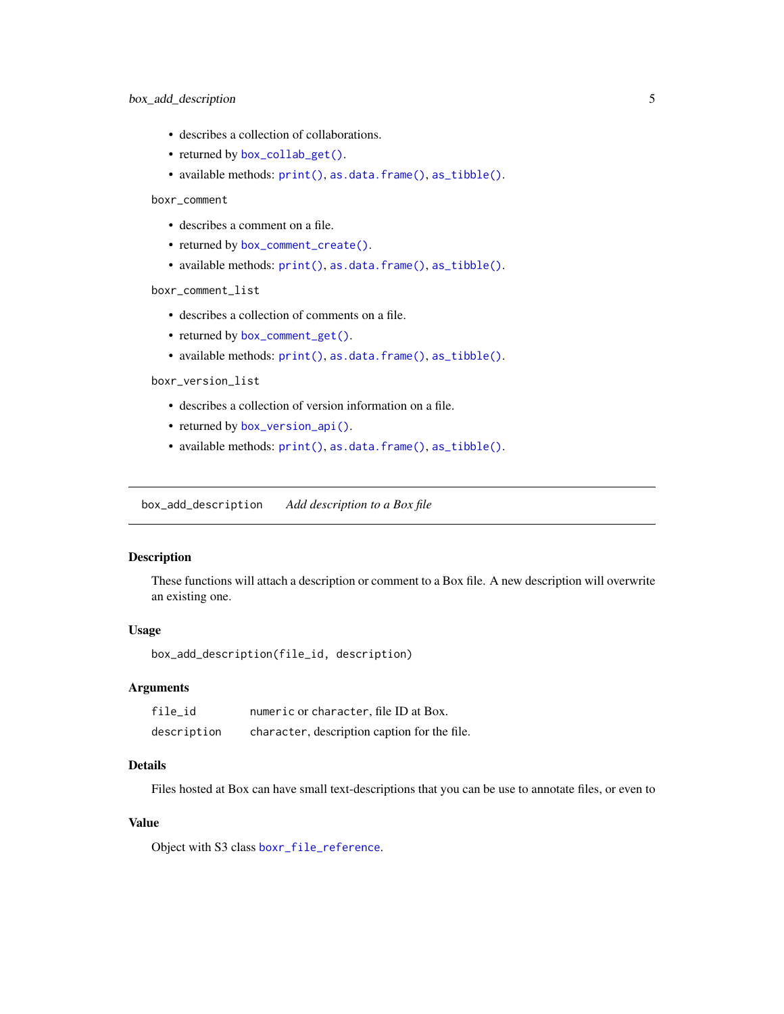- <span id="page-4-0"></span>• describes a collection of collaborations.
- returned by [box\\_collab\\_get\(\)](#page-11-1).
- available methods: [print\(\)](#page-0-0), [as.data.frame\(\)](#page-0-0), [as\\_tibble\(\)](#page-0-0).

boxr\_comment

- describes a comment on a file.
- returned by [box\\_comment\\_create\(\)](#page-12-1).
- available methods: [print\(\)](#page-0-0), [as.data.frame\(\)](#page-0-0), [as\\_tibble\(\)](#page-0-0).

boxr\_comment\_list

- describes a collection of comments on a file.
- returned by [box\\_comment\\_get\(\)](#page-12-2).
- available methods: [print\(\)](#page-0-0), [as.data.frame\(\)](#page-0-0), [as\\_tibble\(\)](#page-0-0).

boxr\_version\_list

- describes a collection of version information on a file.
- returned by [box\\_version\\_api\(\)](#page-0-0).
- available methods: [print\(\)](#page-0-0), [as.data.frame\(\)](#page-0-0), [as\\_tibble\(\)](#page-0-0).

box\_add\_description *Add description to a Box file*

### Description

These functions will attach a description or comment to a Box file. A new description will overwrite an existing one.

#### Usage

box\_add\_description(file\_id, description)

#### Arguments

| file id     | numeric or character, file ID at Box.        |
|-------------|----------------------------------------------|
| description | character, description caption for the file. |

### Details

Files hosted at Box can have small text-descriptions that you can be use to annotate files, or even to

### Value

Object with S3 class [boxr\\_file\\_reference](#page-3-1).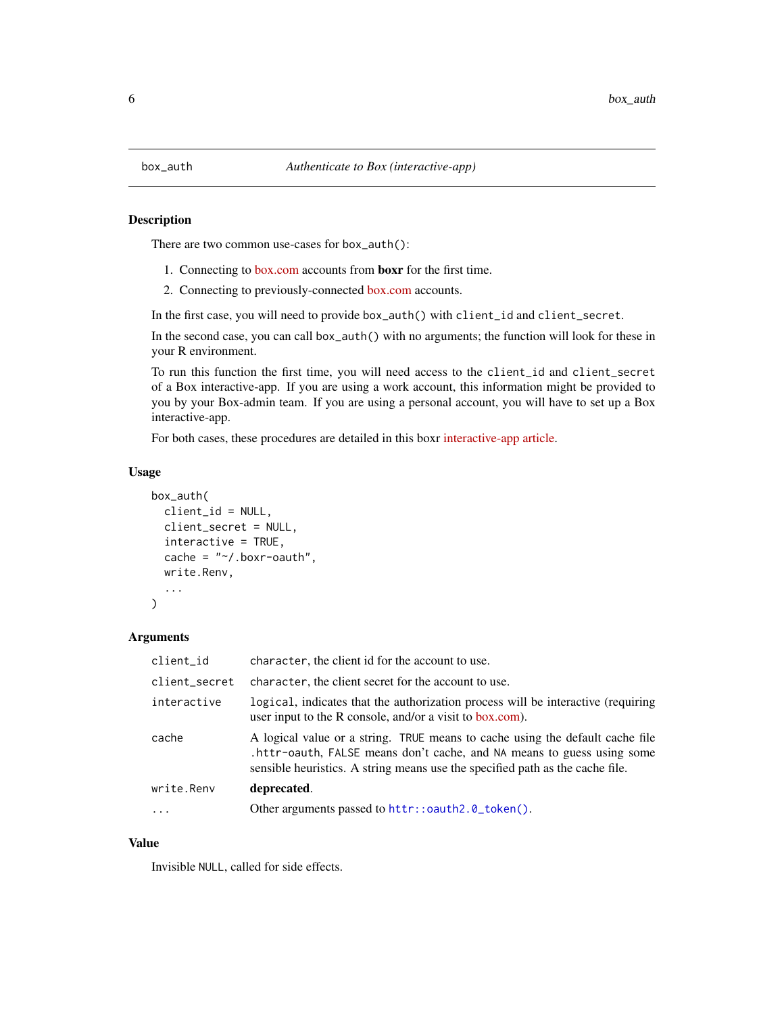There are two common use-cases for box\_auth():

- 1. Connecting to [box.com](https://developer.box.com/docs) accounts from boxr for the first time.
- 2. Connecting to previously-connected [box.com](https://developer.box.com/docs) accounts.

In the first case, you will need to provide box\_auth() with client\_id and client\_secret.

In the second case, you can call box\_auth() with no arguments; the function will look for these in your R environment.

To run this function the first time, you will need access to the client\_id and client\_secret of a Box interactive-app. If you are using a work account, this information might be provided to you by your Box-admin team. If you are using a personal account, you will have to set up a Box interactive-app.

For both cases, these procedures are detailed in this boxr [interactive-app article.](https://r-box.github.io/boxr/articles/boxr-app-interactive.html)

### Usage

```
box_auth(
  client_id = NULL,
  client_secret = NULL,
  interactive = TRUE,
  cache = " \sim /. box r-oauth",
  write.Renv,
  ...
)
```
#### Arguments

| client_id     | character, the client id for the account to use.                                                                                                                                                                                        |
|---------------|-----------------------------------------------------------------------------------------------------------------------------------------------------------------------------------------------------------------------------------------|
| client_secret | character, the client secret for the account to use.                                                                                                                                                                                    |
| interactive   | logical, indicates that the authorization process will be interactive (requiring<br>user input to the R console, and/or a visit to box.com).                                                                                            |
| cache         | A logical value or a string. TRUE means to cache using the default cache file<br>httr-oauth, FALSE means don't cache, and NA means to guess using some<br>sensible heuristics. A string means use the specified path as the cache file. |
| write.Renv    | deprecated.                                                                                                                                                                                                                             |
| $\ddots$      | Other arguments passed to httr::oauth2.0_token().                                                                                                                                                                                       |

### Value

Invisible NULL, called for side effects.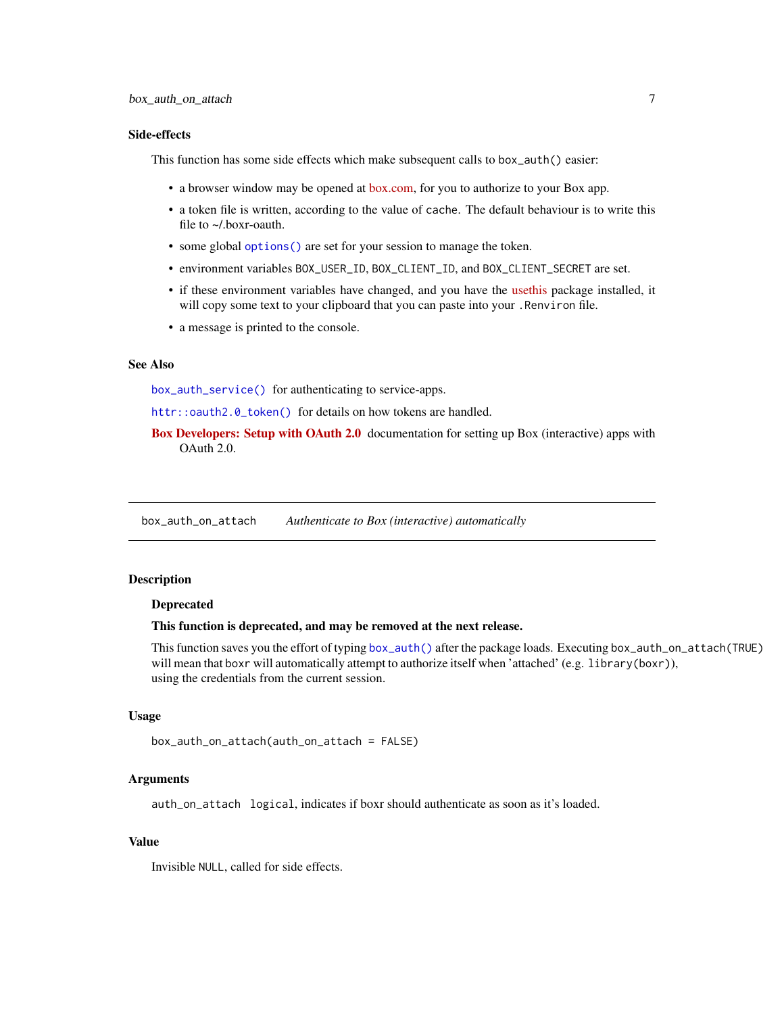### <span id="page-6-0"></span>Side-effects

This function has some side effects which make subsequent calls to box\_auth() easier:

- a browser window may be opened at [box.com,](https://developer.box.com/docs) for you to authorize to your Box app.
- a token file is written, according to the value of cache. The default behaviour is to write this file to ~/.boxr-oauth.
- some global [options\(\)](#page-0-0) are set for your session to manage the token.
- environment variables BOX\_USER\_ID, BOX\_CLIENT\_ID, and BOX\_CLIENT\_SECRET are set.
- if these environment variables have changed, and you have the [usethis](https://usethis.r-lib.org) package installed, it will copy some text to your clipboard that you can paste into your .Renviron file.
- a message is printed to the console.

#### See Also

[box\\_auth\\_service\(\)](#page-7-1) for authenticating to service-apps.

[httr::oauth2.0\\_token\(\)](#page-0-0) for details on how tokens are handled.

[Box Developers: Setup with OAuth 2.0](https://developer.box.com/en/guides/applications/custom-apps/oauth2-setup) documentation for setting up Box (interactive) apps with OAuth 2.0.

box\_auth\_on\_attach *Authenticate to Box (interactive) automatically*

#### Description

#### Deprecated

#### This function is deprecated, and may be removed at the next release.

This function saves you the effort of typing [box\\_auth\(\)](#page-5-1) after the package loads. Executing box\_auth\_on\_attach(TRUE) will mean that boxr will automatically attempt to authorize itself when 'attached' (e.g. library(boxr)), using the credentials from the current session.

#### Usage

```
box_auth_on_attach(auth_on_attach = FALSE)
```
#### Arguments

auth\_on\_attach logical, indicates if boxr should authenticate as soon as it's loaded.

#### Value

Invisible NULL, called for side effects.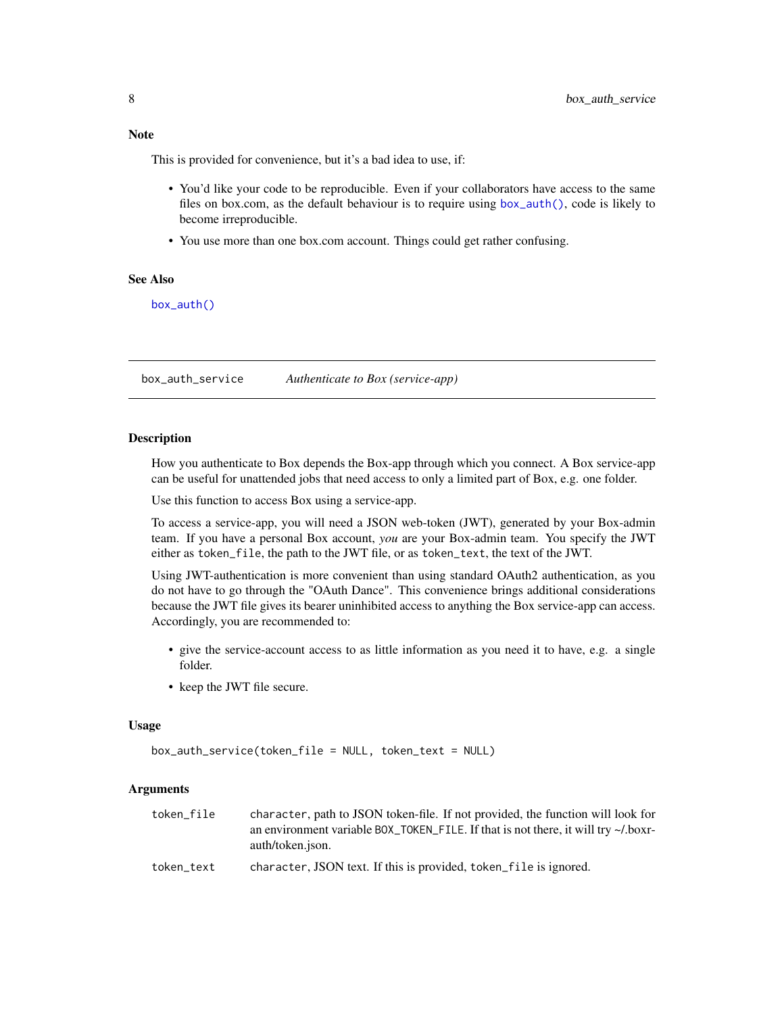### <span id="page-7-0"></span>**Note**

This is provided for convenience, but it's a bad idea to use, if:

- You'd like your code to be reproducible. Even if your collaborators have access to the same files on box.com, as the default behaviour is to require using [box\\_auth\(\)](#page-5-1), code is likely to become irreproducible.
- You use more than one box.com account. Things could get rather confusing.

#### See Also

[box\\_auth\(\)](#page-5-1)

<span id="page-7-1"></span>box\_auth\_service *Authenticate to Box (service-app)*

#### Description

How you authenticate to Box depends the Box-app through which you connect. A Box service-app can be useful for unattended jobs that need access to only a limited part of Box, e.g. one folder.

Use this function to access Box using a service-app.

To access a service-app, you will need a JSON web-token (JWT), generated by your Box-admin team. If you have a personal Box account, *you* are your Box-admin team. You specify the JWT either as token\_file, the path to the JWT file, or as token\_text, the text of the JWT.

Using JWT-authentication is more convenient than using standard OAuth2 authentication, as you do not have to go through the "OAuth Dance". This convenience brings additional considerations because the JWT file gives its bearer uninhibited access to anything the Box service-app can access. Accordingly, you are recommended to:

- give the service-account access to as little information as you need it to have, e.g. a single folder.
- keep the JWT file secure.

#### Usage

```
box_auth_service(token_file = NULL, token_text = NULL)
```
### Arguments

| token file | character, path to JSON token-file. If not provided, the function will look for          |
|------------|------------------------------------------------------------------------------------------|
|            | an environment variable BOX_TOKEN_FILE. If that is not there, it will try $\sim$ /.boxr- |
|            | auth/token.json.                                                                         |
| token text | character, JSON text. If this is provided, token file is ignored.                        |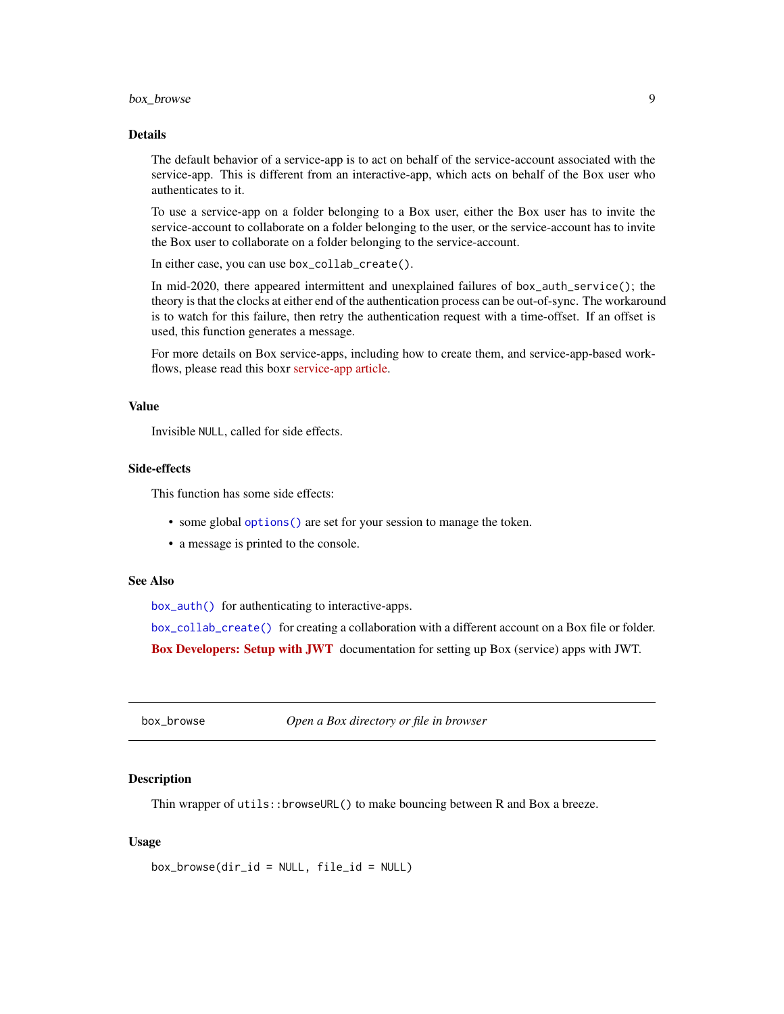#### <span id="page-8-0"></span>box\_browse 9

### Details

The default behavior of a service-app is to act on behalf of the service-account associated with the service-app. This is different from an interactive-app, which acts on behalf of the Box user who authenticates to it.

To use a service-app on a folder belonging to a Box user, either the Box user has to invite the service-account to collaborate on a folder belonging to the user, or the service-account has to invite the Box user to collaborate on a folder belonging to the service-account.

In either case, you can use box\_collab\_create().

In mid-2020, there appeared intermittent and unexplained failures of box\_auth\_service(); the theory is that the clocks at either end of the authentication process can be out-of-sync. The workaround is to watch for this failure, then retry the authentication request with a time-offset. If an offset is used, this function generates a message.

For more details on Box service-apps, including how to create them, and service-app-based workflows, please read this boxr [service-app article.](https://r-box.github.io/boxr/articles/boxr-app-service.html)

#### Value

Invisible NULL, called for side effects.

### Side-effects

This function has some side effects:

- some global [options\(\)](#page-0-0) are set for your session to manage the token.
- a message is printed to the console.

#### See Also

[box\\_auth\(\)](#page-5-1) for authenticating to interactive-apps.

[box\\_collab\\_create\(\)](#page-9-1) for creating a collaboration with a different account on a Box file or folder. [Box Developers: Setup with JWT](https://developer.box.com/en/guides/applications/custom-apps/jwt-setup) documentation for setting up Box (service) apps with JWT.

box\_browse *Open a Box directory or file in browser*

#### Description

Thin wrapper of  $utils$ ::browseURL() to make bouncing between R and Box a breeze.

### Usage

```
box_browse(dir_id = NULL, file_id = NULL)
```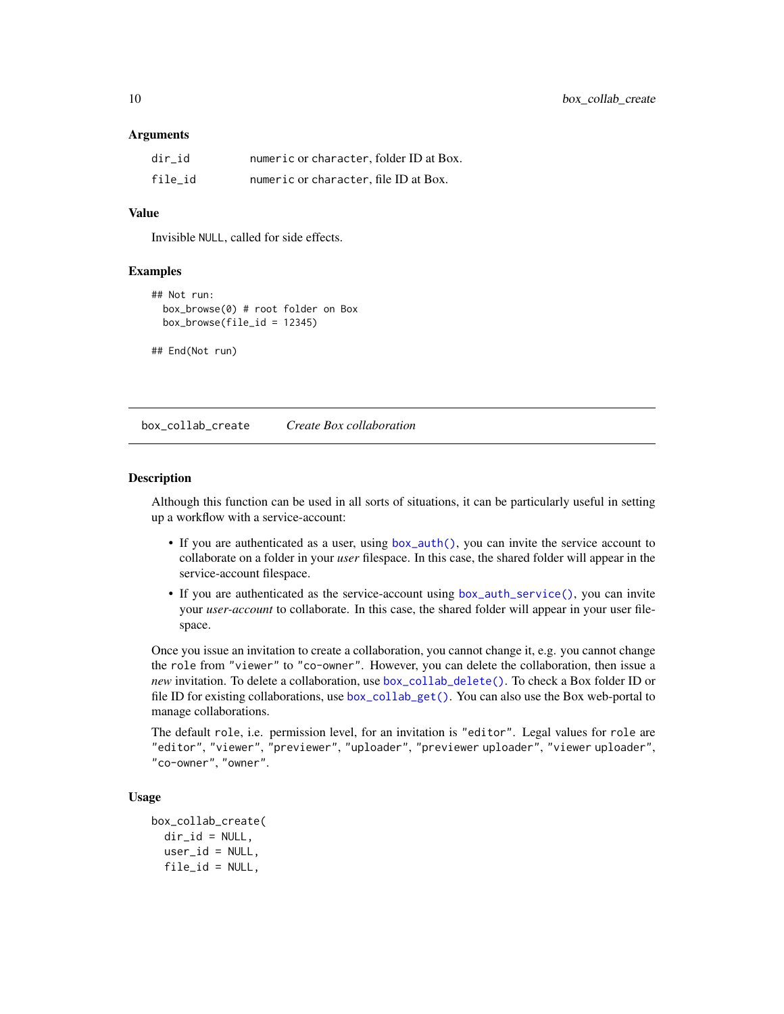#### <span id="page-9-0"></span>Arguments

| dir id  | numeric or character, folder ID at Box. |
|---------|-----------------------------------------|
| file id | numeric or character, file ID at Box.   |

#### Value

Invisible NULL, called for side effects.

#### Examples

```
## Not run:
 box_browse(0) # root folder on Box
 box_browse(file_id = 12345)
```

```
## End(Not run)
```
<span id="page-9-1"></span>box\_collab\_create *Create Box collaboration*

### **Description**

Although this function can be used in all sorts of situations, it can be particularly useful in setting up a workflow with a service-account:

- If you are authenticated as a user, using [box\\_auth\(\)](#page-5-1), you can invite the service account to collaborate on a folder in your *user* filespace. In this case, the shared folder will appear in the service-account filespace.
- If you are authenticated as the service-account using [box\\_auth\\_service\(\)](#page-7-1), you can invite your *user-account* to collaborate. In this case, the shared folder will appear in your user filespace.

Once you issue an invitation to create a collaboration, you cannot change it, e.g. you cannot change the role from "viewer" to "co-owner". However, you can delete the collaboration, then issue a *new* invitation. To delete a collaboration, use [box\\_collab\\_delete\(\)](#page-11-2). To check a Box folder ID or file ID for existing collaborations, use [box\\_collab\\_get\(\)](#page-11-1). You can also use the Box web-portal to manage collaborations.

The default role, i.e. permission level, for an invitation is "editor". Legal values for role are "editor", "viewer", "previewer", "uploader", "previewer uploader", "viewer uploader", "co-owner", "owner".

#### Usage

```
box_collab_create(
 dir_id = NULL,user_id = NULL,file_id = NULL,
```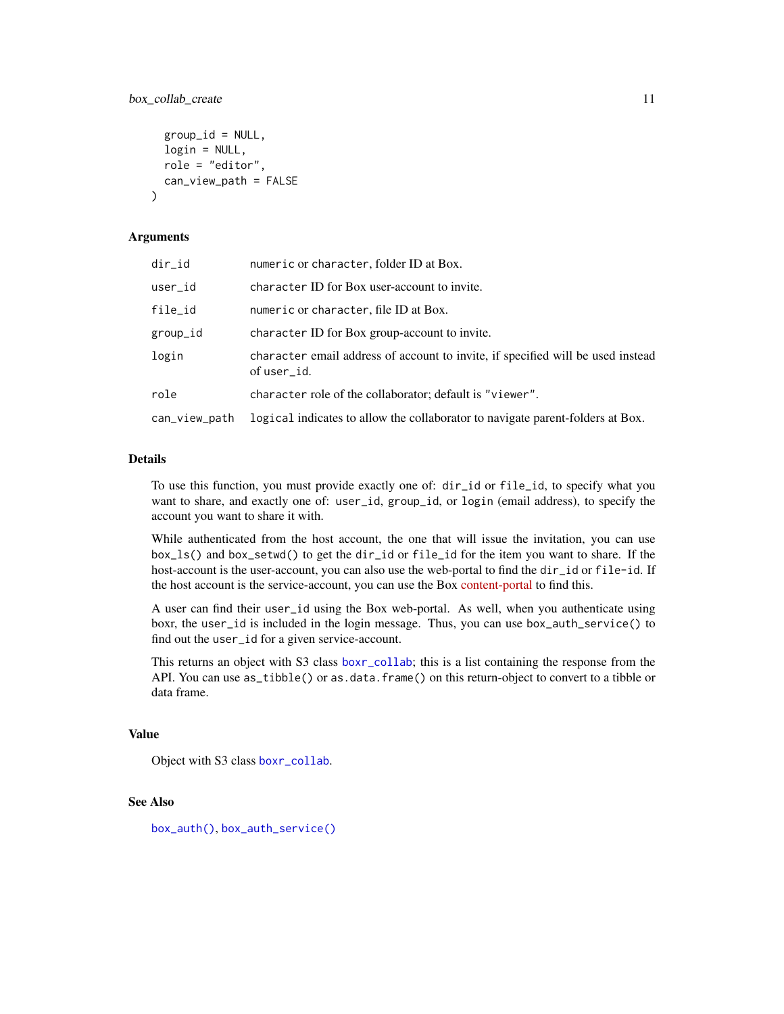```
group_id = NULL,login = NULL,role = "editor",
can_view_path = FALSE
```
#### **Arguments**

)

| dir_id        | numeric or character, folder ID at Box.                                                        |
|---------------|------------------------------------------------------------------------------------------------|
| user_id       | character ID for Box user-account to invite.                                                   |
| file_id       | numeric or character, file ID at Box.                                                          |
| group_id      | character ID for Box group-account to invite.                                                  |
| login         | character email address of account to invite, if specified will be used instead<br>of user_id. |
| role          | character role of the collaborator; default is "viewer".                                       |
| can_view_path | logical indicates to allow the collaborator to navigate parent-folders at Box.                 |

### Details

To use this function, you must provide exactly one of: dir\_id or file\_id, to specify what you want to share, and exactly one of: user\_id, group\_id, or login (email address), to specify the account you want to share it with.

While authenticated from the host account, the one that will issue the invitation, you can use box\_ls() and box\_setwd() to get the dir\_id or file\_id for the item you want to share. If the host-account is the user-account, you can also use the web-portal to find the dir\_id or file-id. If the host account is the service-account, you can use the Box [content-portal](https://app.box.com/master/content) to find this.

A user can find their user\_id using the Box web-portal. As well, when you authenticate using boxr, the user\_id is included in the login message. Thus, you can use box\_auth\_service() to find out the user\_id for a given service-account.

This returns an object with S3 class [boxr\\_collab](#page-3-1); this is a list containing the response from the API. You can use  $as\_tibble()$  or  $as.data.f$ rame $()$  on this return-object to convert to a tibble or data frame.

### Value

Object with S3 class [boxr\\_collab](#page-3-1).

### See Also

[box\\_auth\(\)](#page-5-1), [box\\_auth\\_service\(\)](#page-7-1)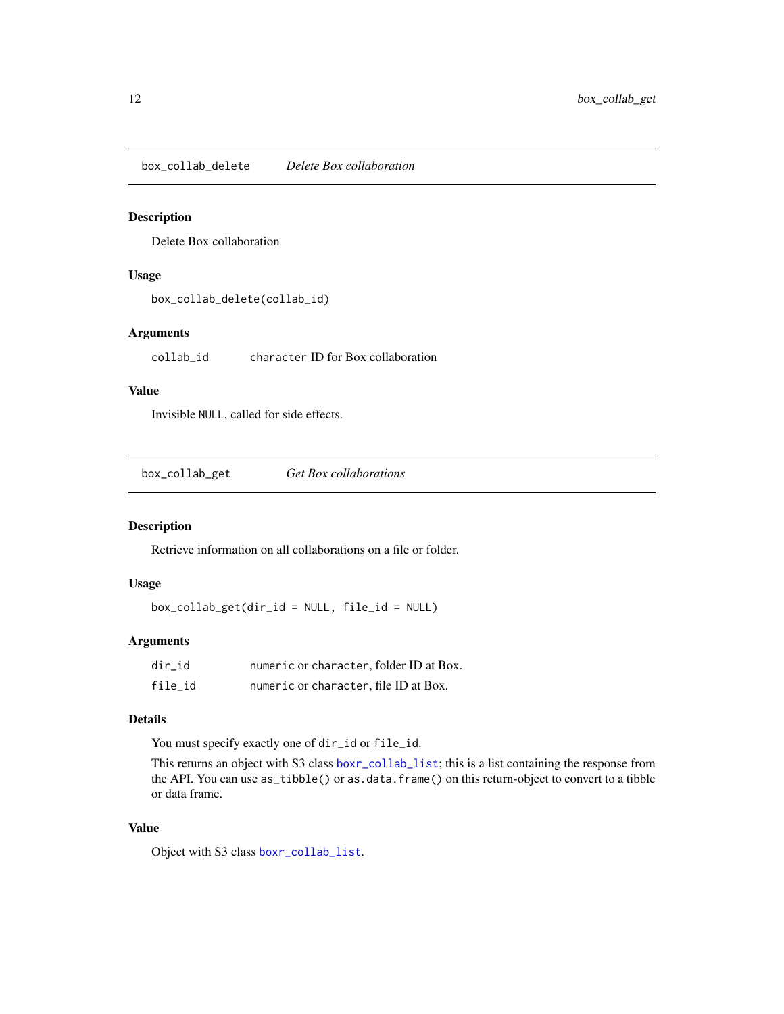<span id="page-11-2"></span><span id="page-11-0"></span>box\_collab\_delete *Delete Box collaboration*

### Description

Delete Box collaboration

### Usage

box\_collab\_delete(collab\_id)

### Arguments

collab\_id character ID for Box collaboration

### Value

Invisible NULL, called for side effects.

<span id="page-11-1"></span>box\_collab\_get *Get Box collaborations*

### Description

Retrieve information on all collaborations on a file or folder.

### Usage

box\_collab\_get(dir\_id = NULL, file\_id = NULL)

### Arguments

| dir id  | numeric or character, folder ID at Box. |
|---------|-----------------------------------------|
| file id | numeric or character, file ID at Box.   |

### Details

You must specify exactly one of dir\_id or file\_id.

This returns an object with S3 class [boxr\\_collab\\_list](#page-3-1); this is a list containing the response from the API. You can use as\_tibble() or as.data.frame() on this return-object to convert to a tibble or data frame.

### Value

Object with S3 class [boxr\\_collab\\_list](#page-3-1).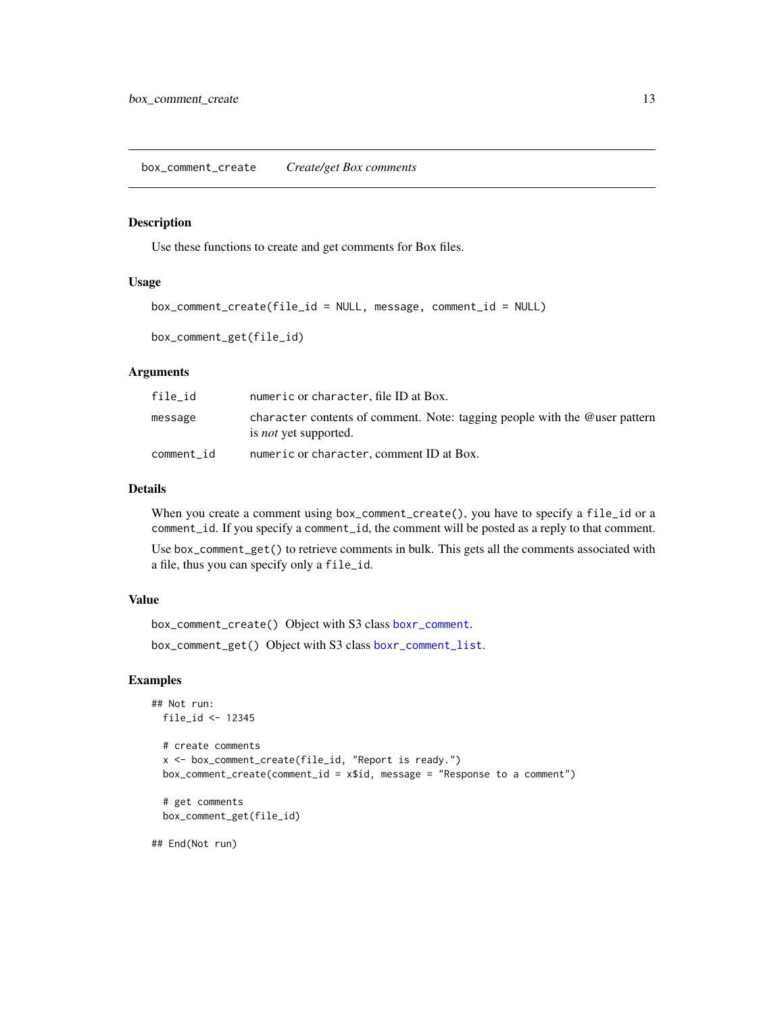<span id="page-12-2"></span><span id="page-12-1"></span><span id="page-12-0"></span>Use these functions to create and get comments for Box files.

### Usage

```
box_comment_create(file_id = NULL, message, comment_id = NULL)
```

```
box_comment_get(file_id)
```
### Arguments

| file id    | numeric or character, file ID at Box.                                                                      |
|------------|------------------------------------------------------------------------------------------------------------|
| message    | character contents of comment. Note: tagging people with the @user pattern<br>is <i>not</i> yet supported. |
| comment id | numeric or character, comment ID at Box.                                                                   |

### Details

When you create a comment using box\_comment\_create(), you have to specify a file\_id or a comment\_id. If you specify a comment\_id, the comment will be posted as a reply to that comment. Use box\_comment\_get() to retrieve comments in bulk. This gets all the comments associated with a file, thus you can specify only a file\_id.

### Value

```
box_comment_create() Object with S3 class boxr_comment.
box_comment_get() Object with S3 class boxr_comment_list.
```
### Examples

```
## Not run:
 file_id <- 12345
 # create comments
 x <- box_comment_create(file_id, "Report is ready.")
 box_comment_create(comment_id = x$id, message = "Response to a comment")
 # get comments
```

```
box_comment_get(file_id)
```
## End(Not run)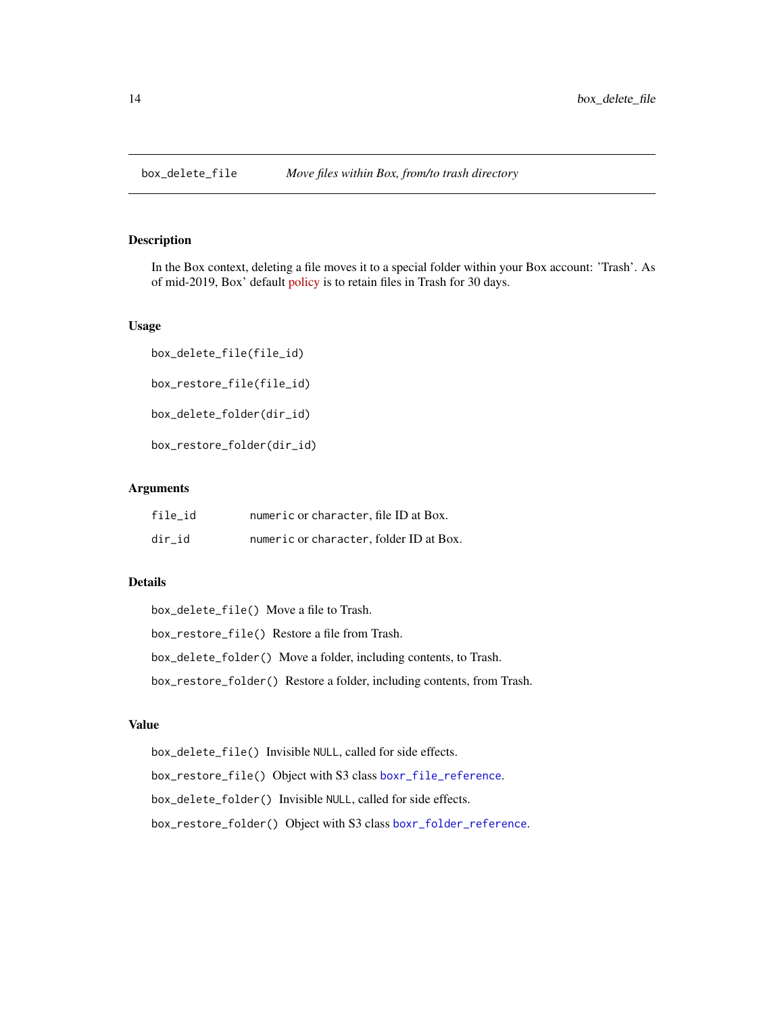<span id="page-13-2"></span><span id="page-13-1"></span><span id="page-13-0"></span>

In the Box context, deleting a file moves it to a special folder within your Box account: 'Trash'. As of mid-2019, Box' default [policy](https://support.box.com/hc/en-us/articles/360044196093-Manage-Trash) is to retain files in Trash for 30 days.

#### Usage

```
box_delete_file(file_id)
box_restore_file(file_id)
box_delete_folder(dir_id)
box_restore_folder(dir_id)
```
### Arguments

| file id | numeric or character, file ID at Box.   |
|---------|-----------------------------------------|
| dir id  | numeric or character, folder ID at Box. |

#### Details

box\_delete\_file() Move a file to Trash. box\_restore\_file() Restore a file from Trash. box\_delete\_folder() Move a folder, including contents, to Trash. box\_restore\_folder() Restore a folder, including contents, from Trash.

### Value

box\_delete\_file() Invisible NULL, called for side effects. box\_restore\_file() Object with S3 class [boxr\\_file\\_reference](#page-3-1). box\_delete\_folder() Invisible NULL, called for side effects. box\_restore\_folder() Object with S3 class [boxr\\_folder\\_reference](#page-3-1).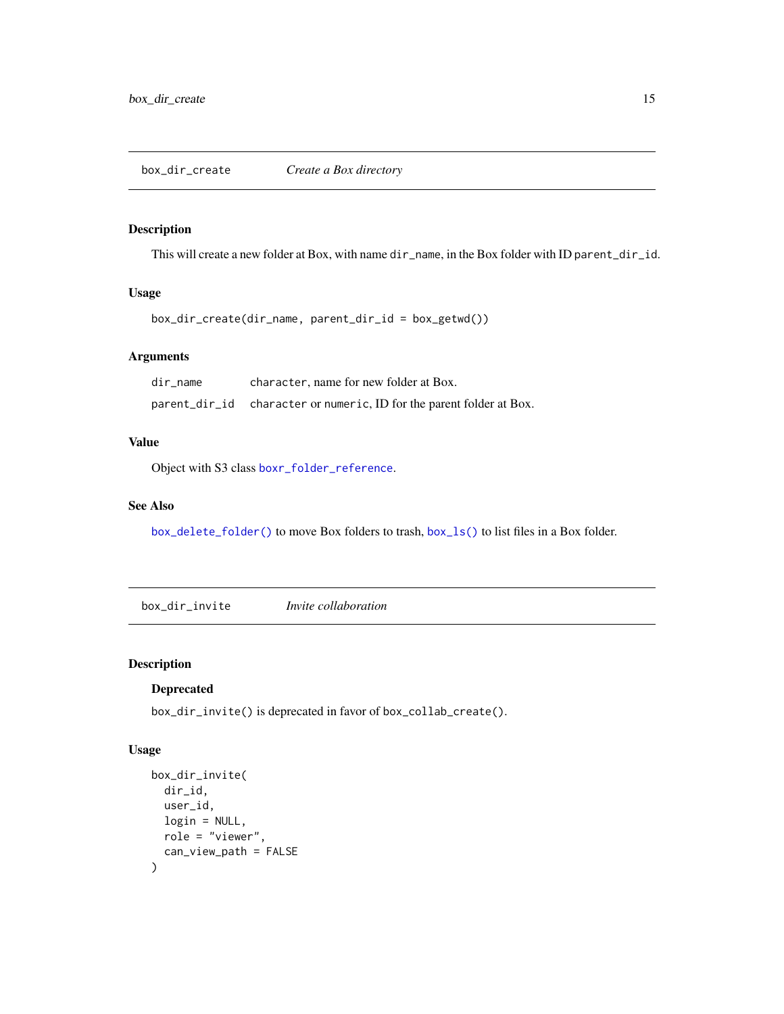<span id="page-14-1"></span><span id="page-14-0"></span>This will create a new folder at Box, with name dir\_name, in the Box folder with ID parent\_dir\_id.

### Usage

```
box_dir_create(dir_name, parent_dir_id = box_getwd())
```
#### Arguments

| dir name | character, name for new folder at Box.                               |
|----------|----------------------------------------------------------------------|
|          | parent_dir_id character or numeric, ID for the parent folder at Box. |

### Value

Object with S3 class [boxr\\_folder\\_reference](#page-3-1).

### See Also

[box\\_delete\\_folder\(\)](#page-13-2) to move Box folders to trash, [box\\_ls\(\)](#page-19-1) to list files in a Box folder.

box\_dir\_invite *Invite collaboration*

### Description

#### Deprecated

box\_dir\_invite() is deprecated in favor of box\_collab\_create().

#### Usage

```
box_dir_invite(
 dir_id,
 user_id,
 login = NULL,
 role = "viewer",
 can_view_path = FALSE
)
```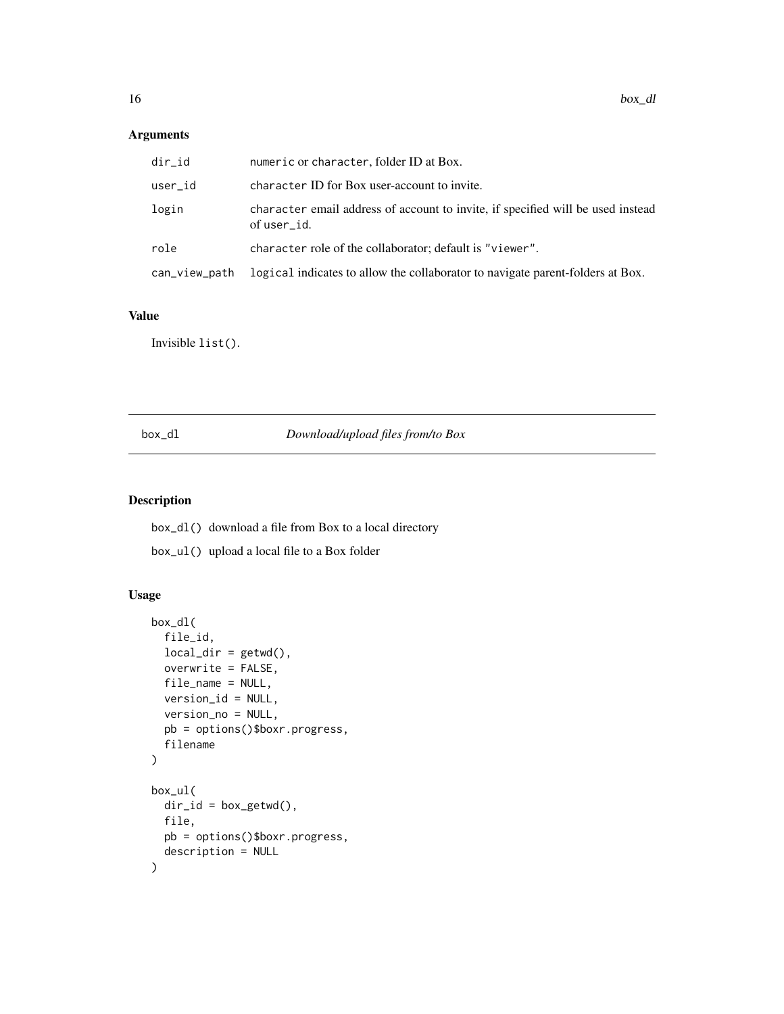### <span id="page-15-0"></span>Arguments

| dir_id        | numeric or character, folder ID at Box.                                                        |
|---------------|------------------------------------------------------------------------------------------------|
| user_id       | character ID for Box user-account to invite.                                                   |
| login         | character email address of account to invite, if specified will be used instead<br>of user_id. |
| role          | character role of the collaborator; default is "viewer".                                       |
| can_view_path | logical indicates to allow the collaborator to navigate parent-folders at Box.                 |

### Value

Invisible list().

## <span id="page-15-2"></span>box\_dl *Download/upload files from/to Box*

### <span id="page-15-1"></span>Description

box\_dl() download a file from Box to a local directory

box\_ul() upload a local file to a Box folder

### Usage

```
box_dl(
  file_id,
  local\_dir = getwd(),overwrite = FALSE,
  file_name = NULL,
 version_id = NULL,
 version_no = NULL,
  pb = options()$boxr.progress,
  filename
)
box_ul(
 dir_id = box\_getwd(),
 file,
 pb = options()$boxr.progress,
  description = NULL
\mathcal{E}
```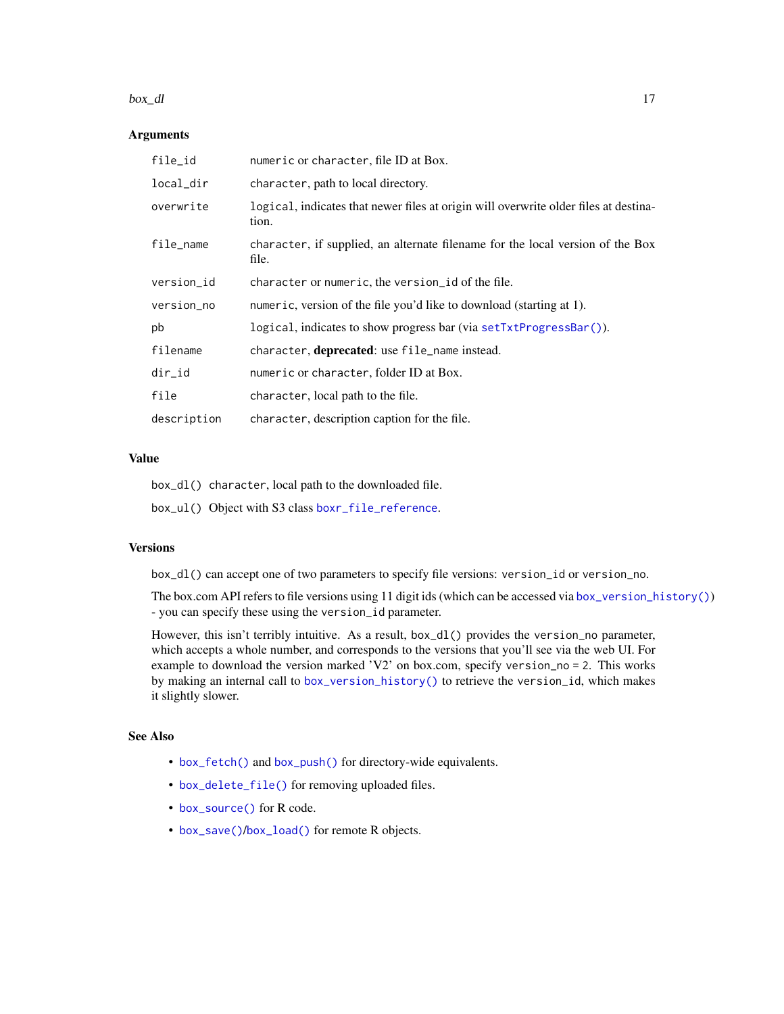#### <span id="page-16-0"></span> $\mathbf{box}_d$  17

#### Arguments

| file_id     | numeric or character, file ID at Box.                                                         |
|-------------|-----------------------------------------------------------------------------------------------|
| local_dir   | character, path to local directory.                                                           |
| overwrite   | logical, indicates that newer files at origin will overwrite older files at destina-<br>tion. |
| file_name   | character, if supplied, an alternate filename for the local version of the Box<br>file.       |
| version_id  | character or numeric, the version_id of the file.                                             |
| version_no  | numeric, version of the file you'd like to download (starting at 1).                          |
| pb          | logical, indicates to show progress bar (via setTxtProgressBar()).                            |
| filename    | character, deprecated: use file_name instead.                                                 |
| dir_id      | numeric or character, folder ID at Box.                                                       |
| file        | character, local path to the file.                                                            |
| description | character, description caption for the file.                                                  |

### Value

box\_dl() character, local path to the downloaded file.

box\_ul() Object with S3 class [boxr\\_file\\_reference](#page-3-1).

### Versions

box\_dl() can accept one of two parameters to specify file versions: version\_id or version\_no.

The box.com API refers to file versions using 11 digit ids (which can be accessed via [box\\_version\\_history\(\)](#page-25-1)) - you can specify these using the version\_id parameter.

However, this isn't terribly intuitive. As a result, box\_dl() provides the version\_no parameter, which accepts a whole number, and corresponds to the versions that you'll see via the web UI. For example to download the version marked 'V2' on box.com, specify version\_no = 2. This works by making an internal call to [box\\_version\\_history\(\)](#page-25-1) to retrieve the version\_id, which makes it slightly slower.

### See Also

- [box\\_fetch\(\)](#page-17-1) and [box\\_push\(\)](#page-17-2) for directory-wide equivalents.
- [box\\_delete\\_file\(\)](#page-13-1) for removing uploaded files.
- [box\\_source\(\)](#page-0-0) for R code.
- [box\\_save\(\)](#page-21-1)/[box\\_load\(\)](#page-21-2) for remote R objects.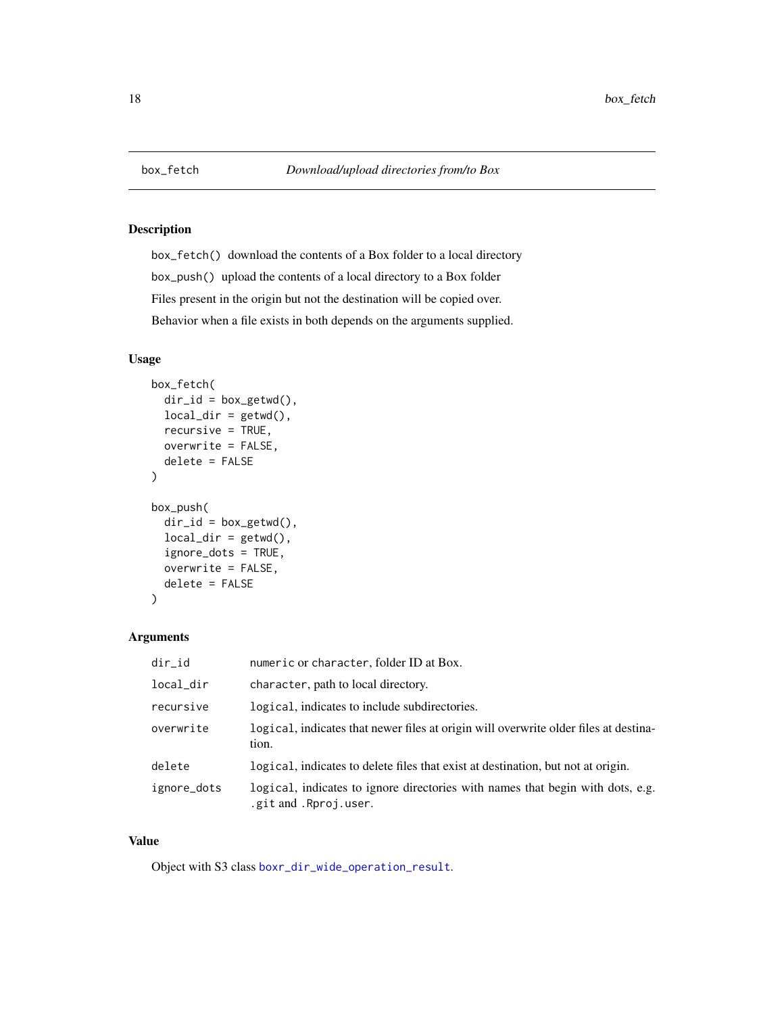<span id="page-17-2"></span><span id="page-17-1"></span><span id="page-17-0"></span>

box\_fetch() download the contents of a Box folder to a local directory box\_push() upload the contents of a local directory to a Box folder Files present in the origin but not the destination will be copied over. Behavior when a file exists in both depends on the arguments supplied.

### Usage

```
box_fetch(
  dir_id = box\_getwd(),
  local\_dir = getwd(),
  recursive = TRUE,
  overwrite = FALSE,
  delete = FALSE
)
box_push(
  dir_id = box\_getwd(),
  local\_dir = getwd(),
  ignore_dots = TRUE,
  overwrite = FALSE,
  delete = FALSE
\mathcal{E}
```
### Arguments

| dir_id      | numeric or character, folder ID at Box.                                                                 |
|-------------|---------------------------------------------------------------------------------------------------------|
| local_dir   | character, path to local directory.                                                                     |
| recursive   | logical, indicates to include subdirectories.                                                           |
| overwrite   | logical, indicates that newer files at origin will overwrite older files at destina-<br>tion.           |
| delete      | logical, indicates to delete files that exist at destination, but not at origin.                        |
| ignore_dots | logical, indicates to ignore directories with names that begin with dots, e.g.<br>.git and .Rproj.user. |

### Value

Object with S3 class [boxr\\_dir\\_wide\\_operation\\_result](#page-3-1).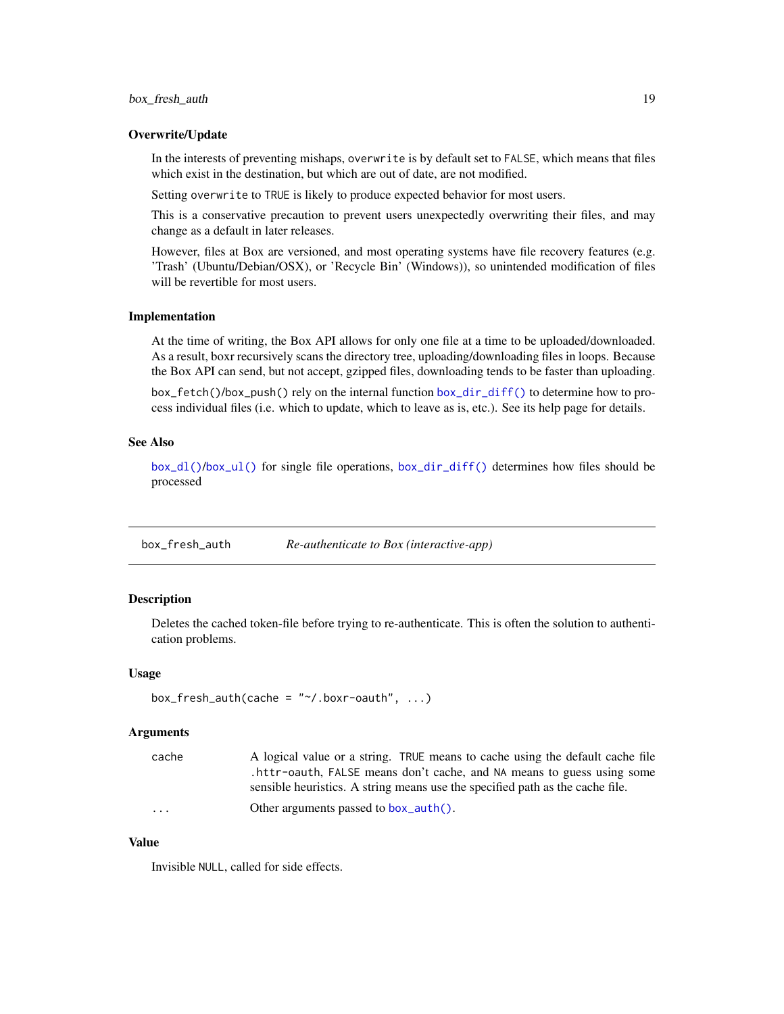### <span id="page-18-0"></span>box\_fresh\_auth 19

#### Overwrite/Update

In the interests of preventing mishaps, overwrite is by default set to FALSE, which means that files which exist in the destination, but which are out of date, are not modified.

Setting overwrite to TRUE is likely to produce expected behavior for most users.

This is a conservative precaution to prevent users unexpectedly overwriting their files, and may change as a default in later releases.

However, files at Box are versioned, and most operating systems have file recovery features (e.g. 'Trash' (Ubuntu/Debian/OSX), or 'Recycle Bin' (Windows)), so unintended modification of files will be revertible for most users.

#### Implementation

At the time of writing, the Box API allows for only one file at a time to be uploaded/downloaded. As a result, boxr recursively scans the directory tree, uploading/downloading files in loops. Because the Box API can send, but not accept, gzipped files, downloading tends to be faster than uploading.

box\_fetch()/box\_push() rely on the internal function [box\\_dir\\_diff\(\)](#page-0-0) to determine how to process individual files (i.e. which to update, which to leave as is, etc.). See its help page for details.

### See Also

[box\\_dl\(\)](#page-15-2)/[box\\_ul\(\)](#page-15-1) for single file operations, [box\\_dir\\_diff\(\)](#page-0-0) determines how files should be processed

box\_fresh\_auth *Re-authenticate to Box (interactive-app)*

### Description

Deletes the cached token-file before trying to re-authenticate. This is often the solution to authentication problems.

#### Usage

```
box_fresh_auth(cache = "~/.box-oauth", ...)
```
#### Arguments

| cache    | A logical value or a string. TRUE means to cache using the default cache file |
|----------|-------------------------------------------------------------------------------|
|          | .httr-oauth, FALSE means don't cache, and NA means to guess using some        |
|          | sensible heuristics. A string means use the specified path as the cache file. |
| $\cdots$ | Other arguments passed to box_auth().                                         |

#### Value

Invisible NULL, called for side effects.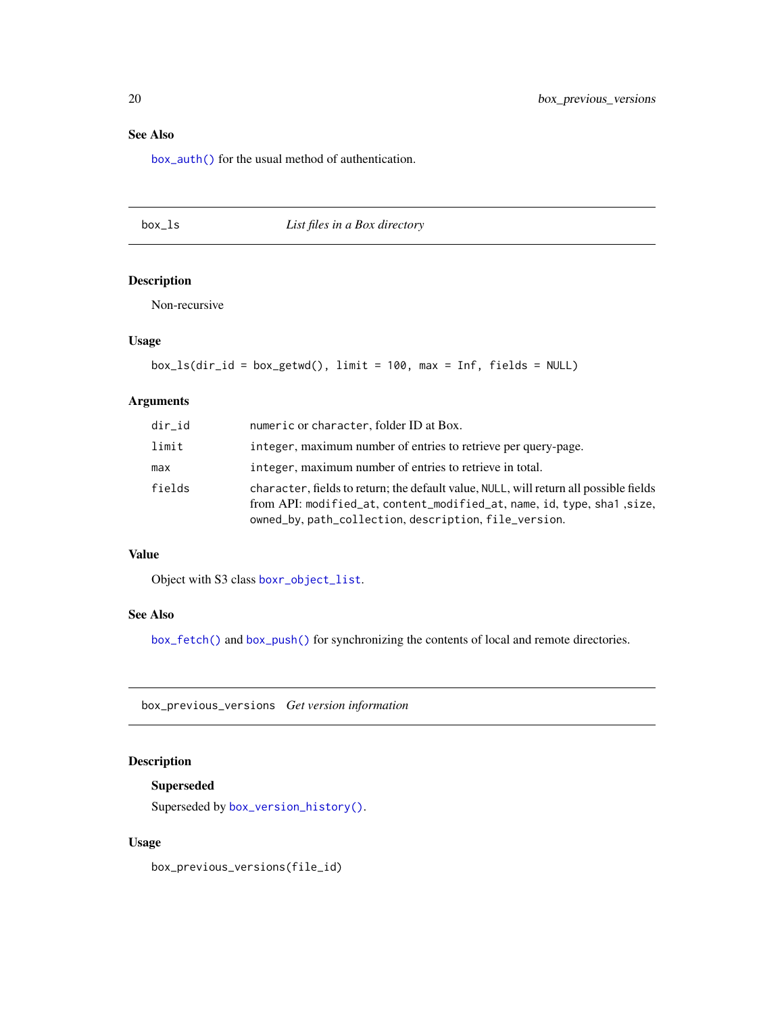### <span id="page-19-0"></span>See Also

[box\\_auth\(\)](#page-5-1) for the usual method of authentication.

<span id="page-19-1"></span>box\_ls *List files in a Box directory*

### Description

Non-recursive

### Usage

```
box_ls(dir_id = box_getwd(), limit = 100, max = Inf, fields = NULL)
```
### Arguments

| dir_id | numeric or character, folder ID at Box.                                                                                                                                                                                   |
|--------|---------------------------------------------------------------------------------------------------------------------------------------------------------------------------------------------------------------------------|
| limit  | integer, maximum number of entries to retrieve per query-page.                                                                                                                                                            |
| max    | integer, maximum number of entries to retrieve in total.                                                                                                                                                                  |
| fields | character, fields to return; the default value, NULL, will return all possible fields<br>from API: modified_at, content_modified_at, name, id, type, sha1, size,<br>owned_by, path_collection, description, file_version. |

### Value

Object with S3 class [boxr\\_object\\_list](#page-3-1).

#### See Also

[box\\_fetch\(\)](#page-17-1) and [box\\_push\(\)](#page-17-2) for synchronizing the contents of local and remote directories.

box\_previous\_versions *Get version information*

### Description

### Superseded

Superseded by [box\\_version\\_history\(\)](#page-25-1).

### Usage

box\_previous\_versions(file\_id)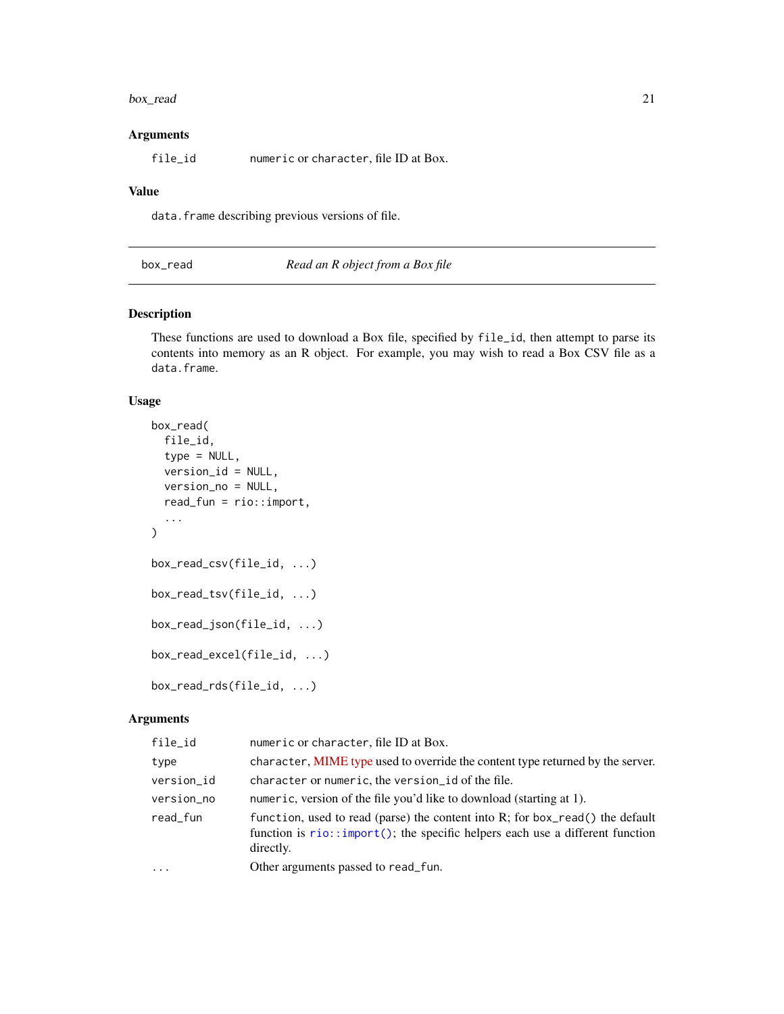#### <span id="page-20-0"></span>box\_read 21

### Arguments

file\_id numeric or character, file ID at Box.

### Value

data.frame describing previous versions of file.

<span id="page-20-1"></span>box\_read *Read an R object from a Box file*

#### Description

These functions are used to download a Box file, specified by file\_id, then attempt to parse its contents into memory as an R object. For example, you may wish to read a Box CSV file as a data.frame.

### Usage

```
box_read(
  file_id,
  type = NULL,version_id = NULL,
  version_no = NULL,
  read_fun = rio::import,
  ...
\mathcal{E}box_read_csv(file_id, ...)
box_read_tsv(file_id, ...)
box_read_json(file_id, ...)
box_read_excel(file_id, ...)
box_read_rds(file_id, ...)
```
### Arguments

| file_id    | numeric or character, file ID at Box.                                                                                                                                                 |
|------------|---------------------------------------------------------------------------------------------------------------------------------------------------------------------------------------|
| type       | character, MIME type used to override the content type returned by the server.                                                                                                        |
| version_id | character or numeric, the version_id of the file.                                                                                                                                     |
| version_no | numeric, version of the file you'd like to download (starting at 1).                                                                                                                  |
| read_fun   | function, used to read (parse) the content into R; for box_read() the default<br>function is $\text{rio::import}()$ ; the specific helpers each use a different function<br>directly. |
| $\ddots$   | Other arguments passed to read_fun.                                                                                                                                                   |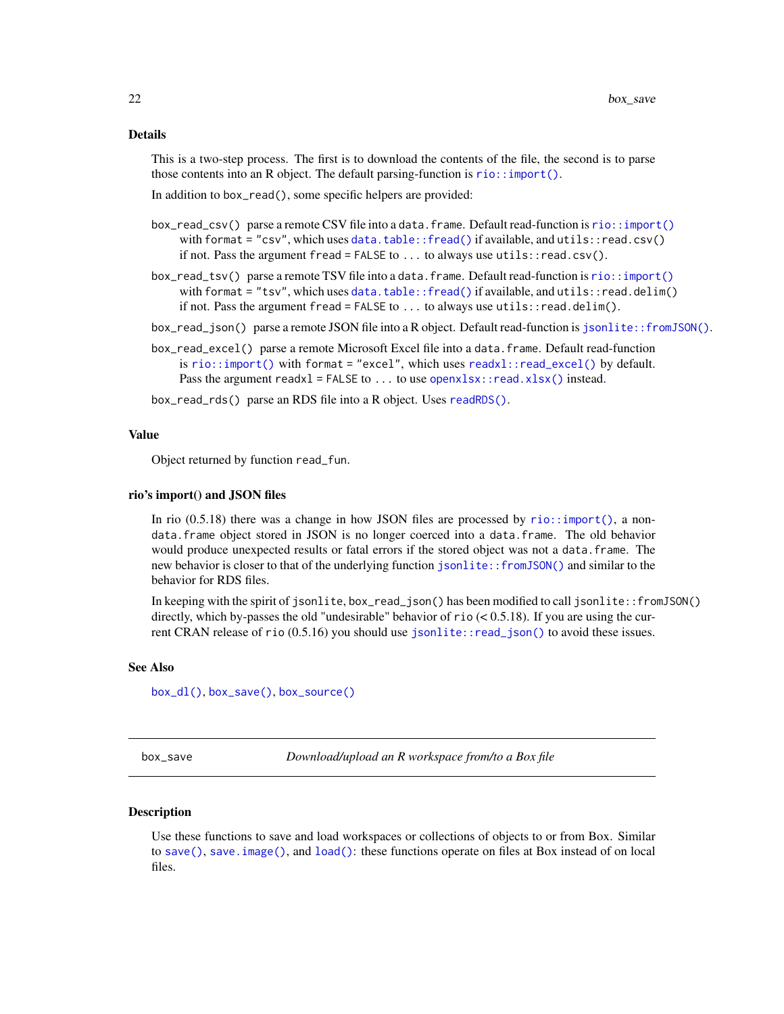#### <span id="page-21-0"></span>Details

This is a two-step process. The first is to download the contents of the file, the second is to parse those contents into an R object. The default parsing-function is  $\text{rio::import}()$ .

In addition to box\_read(), some specific helpers are provided:

- box\_read\_csv() parse a remote CSV file into a data.frame. Default read-function is [rio::import\(\)](#page-0-0) with format = "csv", which uses [data.table::fread\(\)](#page-0-0) if available, and utils::read.csv() if not. Pass the argument fread = FALSE to ... to always use utils::read.csv().
- box\_read\_tsv() parse a remote TSV file into a data.frame. Default read-function is [rio::import\(\)](#page-0-0) with format = "tsv", which uses [data.table::fread\(\)](#page-0-0) if available, and utils::read.delim() if not. Pass the argument fread = FALSE to  $\dots$  to always use utils:: read.delim().
- box\_read\_json() parse a remote JSON file into a R object. Default read-function is [jsonlite::fromJSON\(\)](#page-0-0).
- box\_read\_excel() parse a remote Microsoft Excel file into a data.frame. Default read-function is [rio::import\(\)](#page-0-0) with format = "excel", which uses [readxl::read\\_excel\(\)](#page-0-0) by default. Pass the argument readx $l$  = FALSE to  $\dots$  to use [openxlsx::read.xlsx\(\)](#page-0-0) instead.

box\_read\_rds() parse an RDS file into a R object. Uses [readRDS\(\)](#page-0-0).

#### Value

Object returned by function read\_fun.

#### rio's import() and JSON files

In rio  $(0.5.18)$  there was a change in how JSON files are processed by [rio::import\(\)](#page-0-0), a nondata.frame object stored in JSON is no longer coerced into a data.frame. The old behavior would produce unexpected results or fatal errors if the stored object was not a data.frame. The new behavior is closer to that of the underlying function [jsonlite::fromJSON\(\)](#page-0-0) and similar to the behavior for RDS files.

In keeping with the spirit of jsonlite, box\_read\_json() has been modified to call jsonlite::fromJSON() directly, which by-passes the old "undesirable" behavior of rio (< 0.5.18). If you are using the current CRAN release of rio (0.5.16) you should use [jsonlite::read\\_json\(\)](#page-0-0) to avoid these issues.

#### See Also

```
box_dl(), box_save(), box_source()
```
<span id="page-21-1"></span>box\_save *Download/upload an R workspace from/to a Box file*

#### <span id="page-21-2"></span>**Description**

Use these functions to save and load workspaces or collections of objects to or from Box. Similar to [save\(\)](#page-0-0), [save.image\(\)](#page-0-0), and [load\(\)](#page-0-0): these functions operate on files at Box instead of on local files.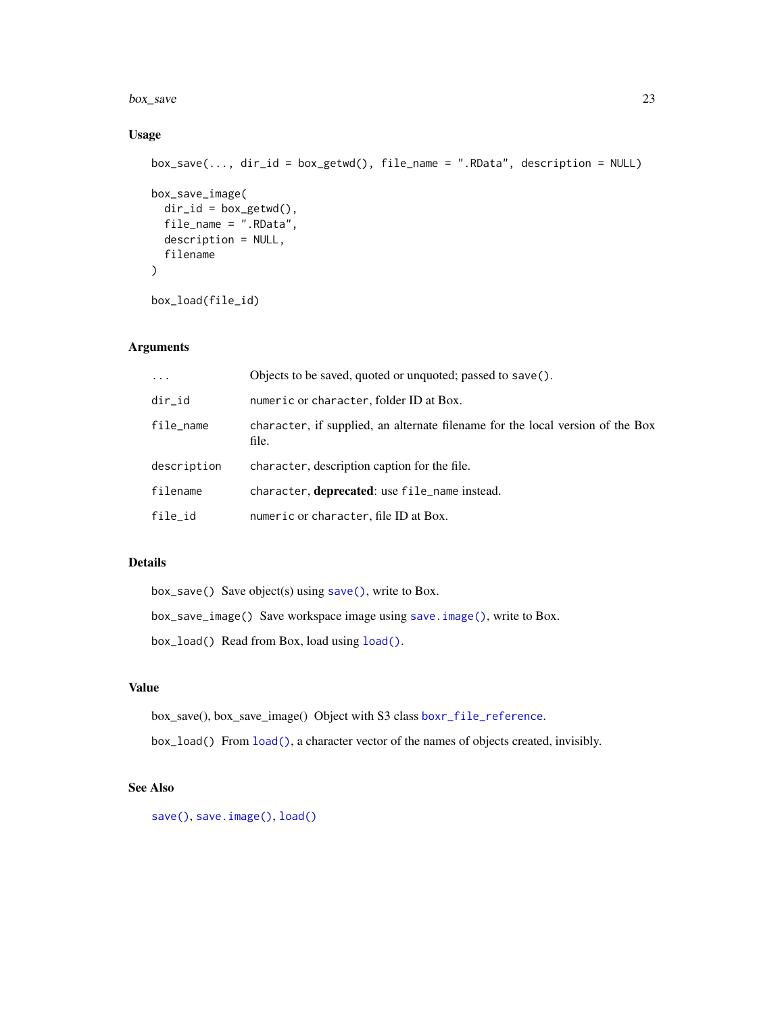#### <span id="page-22-0"></span>box\_save 23

### Usage

```
box_save(..., dir_id = box_getwd(), file_name = ".RData", description = NULL)
box_save_image(
 dir_id = box\_getwd(),
 file_name = ".RData",
 description = NULL,
 filename
\lambdabox_load(file_id)
```
### Arguments

| $\ddots$    | Objects to be saved, quoted or unquoted; passed to save().                              |
|-------------|-----------------------------------------------------------------------------------------|
| dir_id      | numeric or character, folder ID at Box.                                                 |
| file_name   | character, if supplied, an alternate filename for the local version of the Box<br>file. |
| description | character, description caption for the file.                                            |
| filename    | character, <b>deprecated</b> : use file_name instead.                                   |
| file_id     | numeric or character, file ID at Box.                                                   |

### Details

box\_save() Save object(s) using [save\(\)](#page-0-0), write to Box. box\_save\_image() Save workspace image using [save.image\(\)](#page-0-0), write to Box. box\_load() Read from Box, load using [load\(\)](#page-0-0).

### Value

box\_save(), box\_save\_image() Object with S3 class [boxr\\_file\\_reference](#page-3-1).

box\_load() From [load\(\)](#page-0-0), a character vector of the names of objects created, invisibly.

### See Also

[save\(\)](#page-0-0), [save.image\(\)](#page-0-0), [load\(\)](#page-0-0)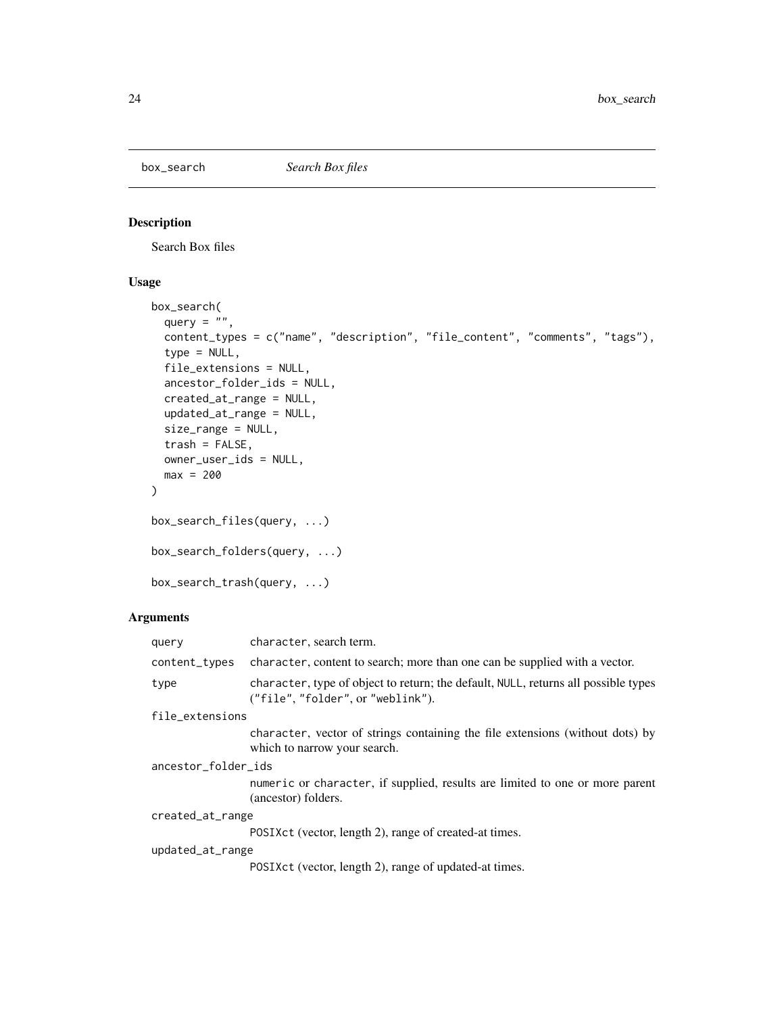<span id="page-23-1"></span><span id="page-23-0"></span>

Search Box files

### Usage

```
box_search(
 query = ",
  content_types = c("name", "description", "file_content", "comments", "tags"),
  type = NULL,
 file_extensions = NULL,
 ancestor_folder_ids = NULL,
 created_at_range = NULL,
 updated_at_range = NULL,
 size_range = NULL,
 trash = FALSE,
 owner_user_ids = NULL,
 max = 200)
box_search_files(query, ...)
box_search_folders(query, ...)
box_search_trash(query, ...)
```
### Arguments

| query               | character, search term.                                                                                                 |  |
|---------------------|-------------------------------------------------------------------------------------------------------------------------|--|
| content_types       | character, content to search; more than one can be supplied with a vector.                                              |  |
| type                | character, type of object to return; the default, NULL, returns all possible types<br>("file", "folder", or "weblink"). |  |
| file_extensions     |                                                                                                                         |  |
|                     | character, vector of strings containing the file extensions (without dots) by<br>which to narrow your search.           |  |
| ancestor_folder_ids |                                                                                                                         |  |
|                     | numeric or character, if supplied, results are limited to one or more parent<br>(ancestor) folders.                     |  |
| created_at_range    |                                                                                                                         |  |
|                     | POSIX ct (vector, length 2), range of created-at times.                                                                 |  |
| updated_at_range    |                                                                                                                         |  |
|                     | POSIX ct (vector, length 2), range of updated-at times.                                                                 |  |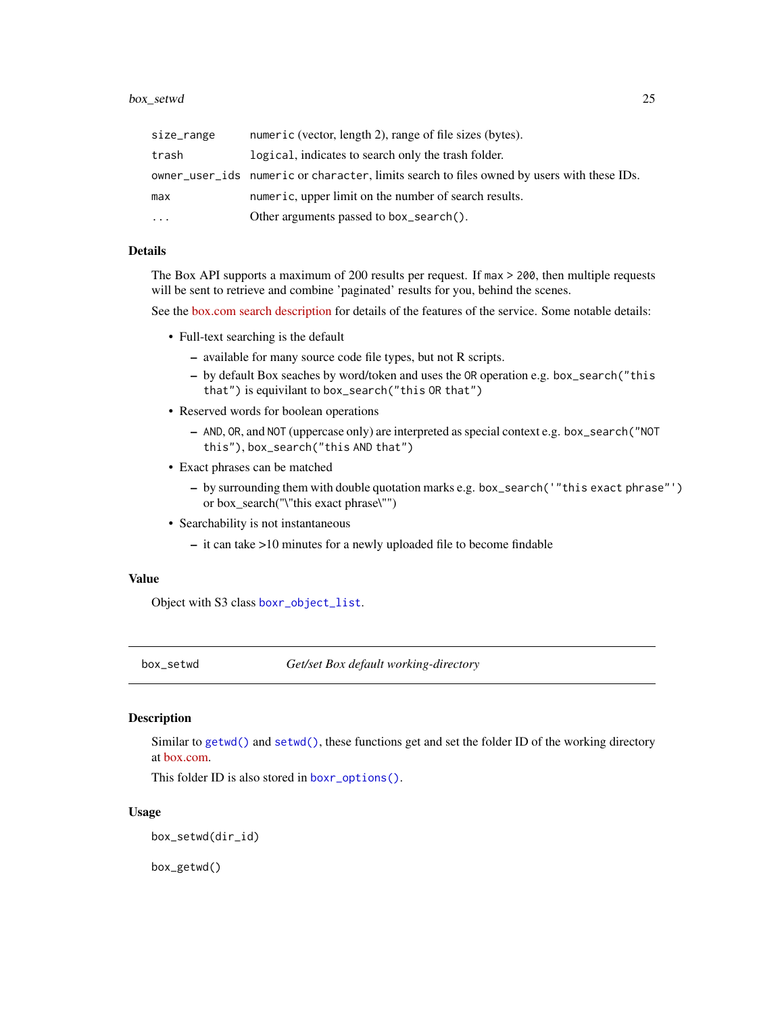#### <span id="page-24-0"></span>box\_setwd 25

| size_range | numeric (vector, length 2), range of file sizes (bytes).                                   |
|------------|--------------------------------------------------------------------------------------------|
| trash      | logical, indicates to search only the trash folder.                                        |
|            | owner_user_ids numeric or character, limits search to files owned by users with these IDs. |
| max        | numeric, upper limit on the number of search results.                                      |
| .          | Other arguments passed to box_search().                                                    |

### Details

The Box API supports a maximum of 200 results per request. If max > 200, then multiple requests will be sent to retrieve and combine 'paginated' results for you, behind the scenes.

See the [box.com search description](https://support.box.com/hc/en-us/articles/360043696314-Search-for-Files-Folders-and-Content) for details of the features of the service. Some notable details:

- Full-text searching is the default
	- available for many source code file types, but not R scripts.
	- by default Box seaches by word/token and uses the OR operation e.g. box\_search("this that") is equivilant to box\_search("this OR that")
- Reserved words for boolean operations
	- AND, OR, and NOT (uppercase only) are interpreted as special context e.g. box\_search("NOT this"), box\_search("this AND that")
- Exact phrases can be matched
	- by surrounding them with double quotation marks e.g. box\_search('"this exact phrase"') or box\_search("\"this exact phrase\"")
- Searchability is not instantaneous
	- it can take >10 minutes for a newly uploaded file to become findable

### Value

Object with S3 class [boxr\\_object\\_list](#page-3-1).

box\_setwd *Get/set Box default working-directory*

### **Description**

Similar to [getwd\(\)](#page-0-0) and [setwd\(\)](#page-0-0), these functions get and set the folder ID of the working directory at [box.com.](https://www.box.com)

This folder ID is also stored in [boxr\\_options\(\)](#page-2-1).

#### Usage

box\_setwd(dir\_id)

box\_getwd()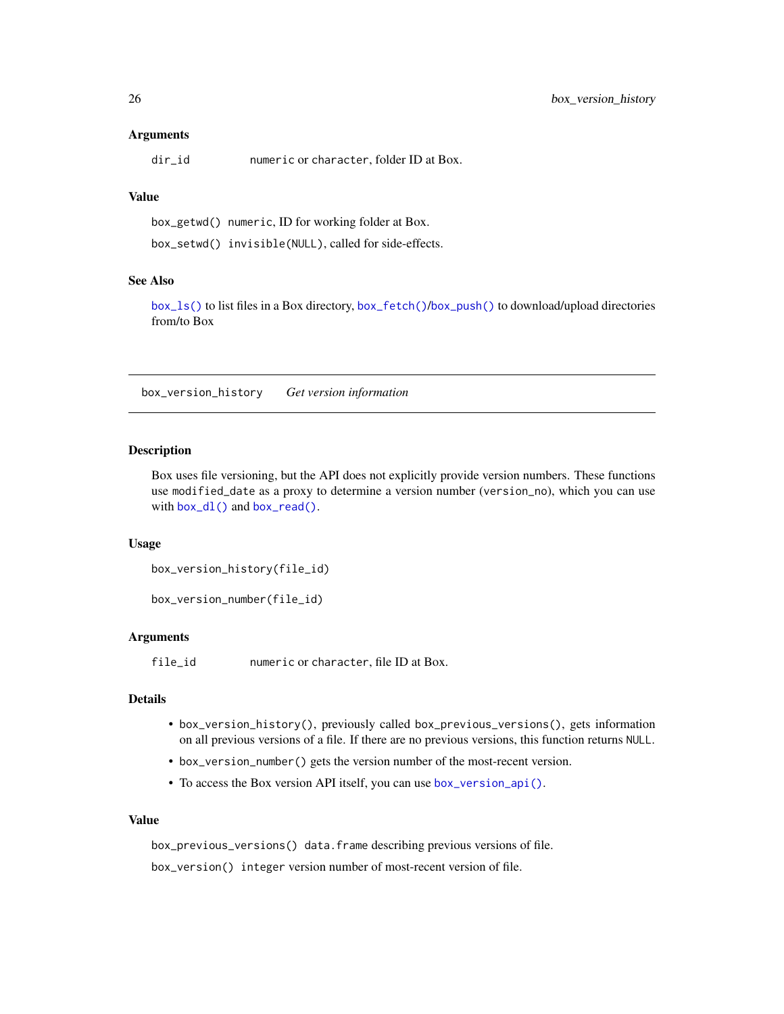#### <span id="page-25-0"></span>Arguments

dir\_id numeric or character, folder ID at Box.

### Value

box\_getwd() numeric, ID for working folder at Box. box\_setwd() invisible(NULL), called for side-effects.

### See Also

[box\\_ls\(\)](#page-19-1) to list files in a Box directory, [box\\_fetch\(\)](#page-17-1)/[box\\_push\(\)](#page-17-2) to download/upload directories from/to Box

<span id="page-25-1"></span>box\_version\_history *Get version information*

### Description

Box uses file versioning, but the API does not explicitly provide version numbers. These functions use modified\_date as a proxy to determine a version number (version\_no), which you can use with [box\\_dl\(\)](#page-15-2) and [box\\_read\(\)](#page-20-1).

#### Usage

```
box_version_history(file_id)
```

```
box_version_number(file_id)
```
#### **Arguments**

file\_id numeric or character, file ID at Box.

### Details

- box\_version\_history(), previously called box\_previous\_versions(), gets information on all previous versions of a file. If there are no previous versions, this function returns NULL.
- box\_version\_number() gets the version number of the most-recent version.
- To access the Box version API itself, you can use [box\\_version\\_api\(\)](#page-0-0).

#### Value

box\_previous\_versions() data.frame describing previous versions of file. box\_version() integer version number of most-recent version of file.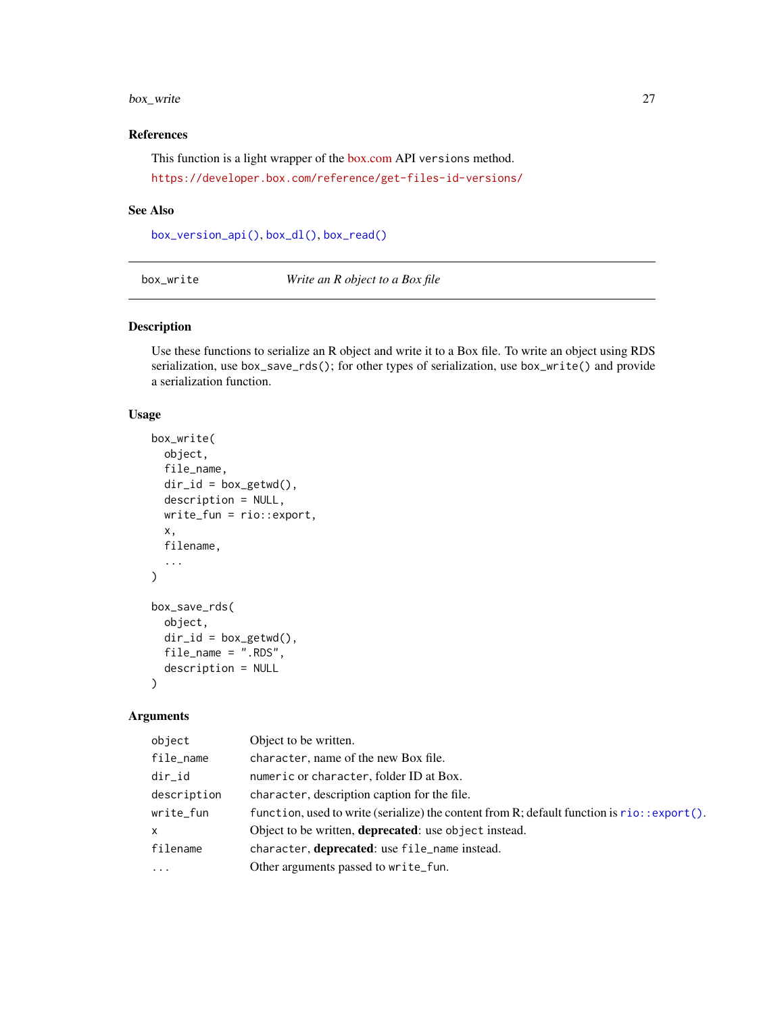#### <span id="page-26-0"></span>box\_write 27

### References

This function is a light wrapper of the [box.com](https://developer.box.com/docs/) API versions method. <https://developer.box.com/reference/get-files-id-versions/>

#### See Also

[box\\_version\\_api\(\)](#page-0-0), [box\\_dl\(\)](#page-15-2), [box\\_read\(\)](#page-20-1)

| box_write |  |  |
|-----------|--|--|
|           |  |  |
|           |  |  |
|           |  |  |

Write an R object to a Box file

#### Description

Use these functions to serialize an R object and write it to a Box file. To write an object using RDS serialization, use box\_save\_rds(); for other types of serialization, use box\_write() and provide a serialization function.

#### Usage

```
box_write(
  object,
  file_name,
  dir_id = box\_getwd(),
  description = NULL,
 write_fun = rio::export,
  x,
  filename,
  ...
)
box_save_rds(
 object,
  dir_id = box\_getwd(),
 file_name = ".RDS",
  description = NULL
)
```
### Arguments

| object      | Object to be written.                                                                                       |
|-------------|-------------------------------------------------------------------------------------------------------------|
| file_name   | character, name of the new Box file.                                                                        |
| dir_id      | numeric or character, folder ID at Box.                                                                     |
| description | character, description caption for the file.                                                                |
| write_fun   | function, used to write (serialize) the content from R; default function is $\text{rio}: \text{export}($ ). |
| $\times$    | Object to be written, <b>deprecated</b> : use object instead.                                               |
| filename    | character, deprecated: use file_name instead.                                                               |
| $\cdot$     | Other arguments passed to write_fun.                                                                        |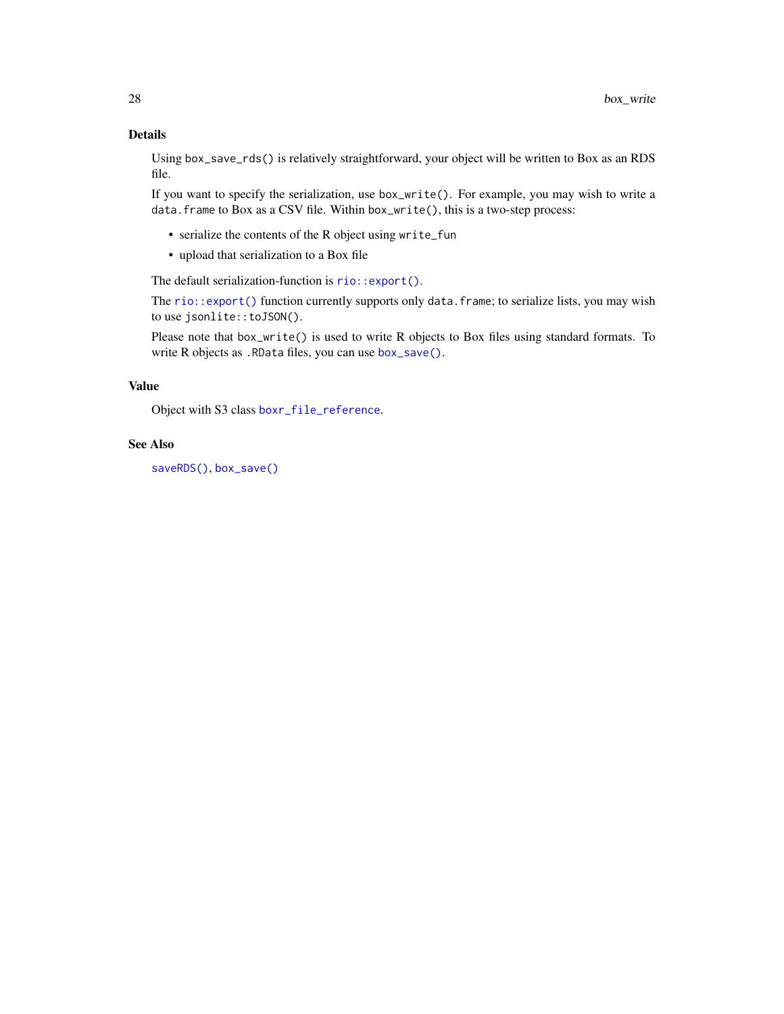### <span id="page-27-0"></span>Details

Using box\_save\_rds() is relatively straightforward, your object will be written to Box as an RDS file.

If you want to specify the serialization, use box\_write(). For example, you may wish to write a data. frame to Box as a CSV file. Within box\_write(), this is a two-step process:

- serialize the contents of the R object using write\_fun
- upload that serialization to a Box file

The default serialization-function is [rio::export\(\)](#page-0-0).

The [rio::export\(\)](#page-0-0) function currently supports only data.frame; to serialize lists, you may wish to use jsonlite::toJSON().

Please note that box\_write() is used to write R objects to Box files using standard formats. To write R objects as .RData files, you can use [box\\_save\(\)](#page-21-1).

### Value

Object with S3 class [boxr\\_file\\_reference](#page-3-1).

### See Also

[saveRDS\(\)](#page-0-0), [box\\_save\(\)](#page-21-1)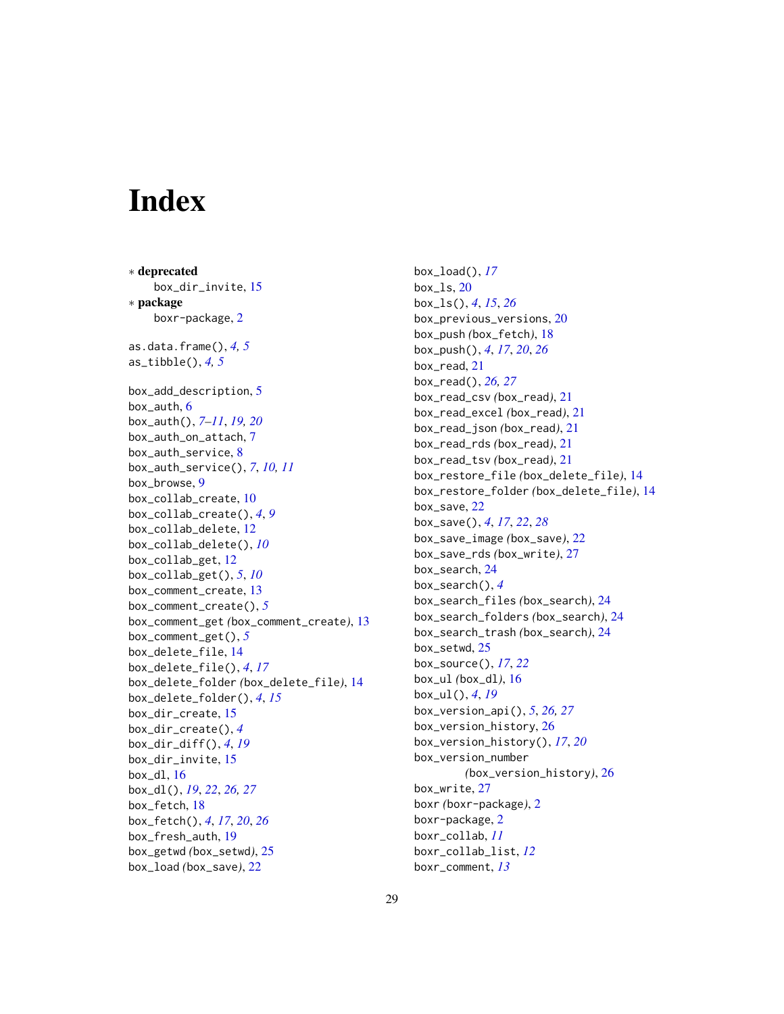# <span id="page-28-0"></span>**Index**

∗ deprecated box\_dir\_invite, [15](#page-14-0) ∗ package boxr-package, [2](#page-1-0) as.data.frame(), *[4,](#page-3-0) [5](#page-4-0)* as\_tibble(), *[4,](#page-3-0) [5](#page-4-0)* box\_add\_description, [5](#page-4-0) box\_auth, [6](#page-5-0) box\_auth(), *[7](#page-6-0)[–11](#page-10-0)*, *[19,](#page-18-0) [20](#page-19-0)* box\_auth\_on\_attach, [7](#page-6-0) box\_auth\_service, [8](#page-7-0) box\_auth\_service(), *[7](#page-6-0)*, *[10,](#page-9-0) [11](#page-10-0)* box\_browse, [9](#page-8-0) box\_collab\_create, [10](#page-9-0) box\_collab\_create(), *[4](#page-3-0)*, *[9](#page-8-0)* box\_collab\_delete, [12](#page-11-0) box\_collab\_delete(), *[10](#page-9-0)* box\_collab\_get, [12](#page-11-0) box\_collab\_get(), *[5](#page-4-0)*, *[10](#page-9-0)* box\_comment\_create, [13](#page-12-0) box\_comment\_create(), *[5](#page-4-0)* box\_comment\_get *(*box\_comment\_create*)*, [13](#page-12-0) box\_comment\_get(), *[5](#page-4-0)* box\_delete\_file, [14](#page-13-0) box\_delete\_file(), *[4](#page-3-0)*, *[17](#page-16-0)* box\_delete\_folder *(*box\_delete\_file*)*, [14](#page-13-0) box\_delete\_folder(), *[4](#page-3-0)*, *[15](#page-14-0)* box\_dir\_create, [15](#page-14-0) box\_dir\_create(), *[4](#page-3-0)* box\_dir\_diff(), *[4](#page-3-0)*, *[19](#page-18-0)* box\_dir\_invite, [15](#page-14-0) box\_dl, [16](#page-15-0) box\_dl(), *[19](#page-18-0)*, *[22](#page-21-0)*, *[26,](#page-25-0) [27](#page-26-0)* box\_fetch, [18](#page-17-0) box\_fetch(), *[4](#page-3-0)*, *[17](#page-16-0)*, *[20](#page-19-0)*, *[26](#page-25-0)* box\_fresh\_auth, [19](#page-18-0) box\_getwd *(*box\_setwd*)*, [25](#page-24-0) box\_load *(*box\_save*)*, [22](#page-21-0)

box\_load(), *[17](#page-16-0)*  $box_1s, 20$  $box_1s, 20$ box\_ls(), *[4](#page-3-0)*, *[15](#page-14-0)*, *[26](#page-25-0)* box\_previous\_versions, [20](#page-19-0) box\_push *(*box\_fetch*)*, [18](#page-17-0) box\_push(), *[4](#page-3-0)*, *[17](#page-16-0)*, *[20](#page-19-0)*, *[26](#page-25-0)* box\_read, [21](#page-20-0) box\_read(), *[26,](#page-25-0) [27](#page-26-0)* box\_read\_csv *(*box\_read*)*, [21](#page-20-0) box\_read\_excel *(*box\_read*)*, [21](#page-20-0) box\_read\_json *(*box\_read*)*, [21](#page-20-0) box\_read\_rds *(*box\_read*)*, [21](#page-20-0) box\_read\_tsv *(*box\_read*)*, [21](#page-20-0) box\_restore\_file *(*box\_delete\_file*)*, [14](#page-13-0) box\_restore\_folder *(*box\_delete\_file*)*, [14](#page-13-0) box\_save, [22](#page-21-0) box\_save(), *[4](#page-3-0)*, *[17](#page-16-0)*, *[22](#page-21-0)*, *[28](#page-27-0)* box\_save\_image *(*box\_save*)*, [22](#page-21-0) box\_save\_rds *(*box\_write*)*, [27](#page-26-0) box\_search, [24](#page-23-0) box\_search(), *[4](#page-3-0)* box\_search\_files *(*box\_search*)*, [24](#page-23-0) box\_search\_folders *(*box\_search*)*, [24](#page-23-0) box\_search\_trash *(*box\_search*)*, [24](#page-23-0) box\_setwd, [25](#page-24-0) box\_source(), *[17](#page-16-0)*, *[22](#page-21-0)* box\_ul *(*box\_dl*)*, [16](#page-15-0) box\_ul(), *[4](#page-3-0)*, *[19](#page-18-0)* box\_version\_api(), *[5](#page-4-0)*, *[26,](#page-25-0) [27](#page-26-0)* box\_version\_history, [26](#page-25-0) box\_version\_history(), *[17](#page-16-0)*, *[20](#page-19-0)* box\_version\_number *(*box\_version\_history*)*, [26](#page-25-0) box\_write, [27](#page-26-0) boxr *(*boxr-package*)*, [2](#page-1-0) boxr-package, [2](#page-1-0) boxr\_collab, *[11](#page-10-0)* boxr\_collab\_list, *[12](#page-11-0)* boxr\_comment, *[13](#page-12-0)*